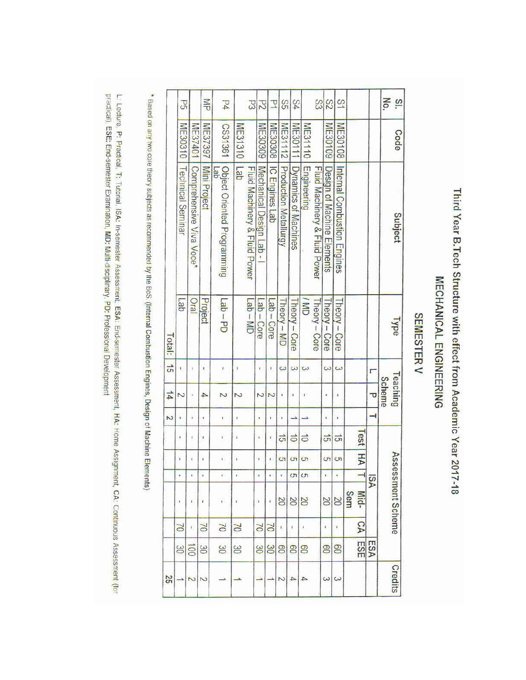# Third Year B.Tech Structure with effect from Academic Year 2017-18 MECHANICAL ENGINEERING

# SEMESTER V

| 25            |                |                    |                          |            |                |                | Z  | $\frac{1}{4}$             | $\vec{5}$     | Total:               |                                    |                |                      |
|---------------|----------------|--------------------|--------------------------|------------|----------------|----------------|----|---------------------------|---------------|----------------------|------------------------------------|----------------|----------------------|
|               | S              | O2                 | ۱                        | r          | ł              | ŧ              | ı. | Z                         | ŧ.            | $q$ e $\overline{q}$ | ME30310   Technical Seminar        |                | Sd                   |
| N             | $\overline{5}$ | I,                 | ŧ                        | ,          | ì.             | t              | ×  |                           | ı             | <b>IBIO</b>          | Comprehensive Viva Voce*           | ME37401        |                      |
| N             | SO             | $\geq$             | r                        | ś          | ×              | t              | ,  | 4                         | t             | Project              | Mini Project                       | ME37397        | 돌                    |
|               | S              | $\approx$          | V.                       | ŗ.         | ī.             |                |    | N                         | ř             | $I$ ab – PD          | Object Oriented Programming<br>del | L981361        | $\overline{4}$       |
|               | 30             | $\approx$          | t                        | š          | ï              | š.             | ¥  | Z                         | ì             |                      | Lab                                | ME31310        |                      |
|               |                |                    |                          |            |                |                |    |                           |               | $QW - dE$            | Fluid Machinery & Fluid Power      |                | 53                   |
|               | $\mathcal{S}$  | $\alpha$           | ī                        | ę          | ï              | $\mathbf{r}$   | ī  | Z                         | $\ddot{\ast}$ | $-$ ab – Core        | Mechanical Design Lab -            | ME30309        | $\overline{c}$       |
|               | SO             | NO                 | ł                        | ŧ          | į.             | ï,             | ¥  | $\overline{c}$            | $\mathbf{I}$  | db - Core            | <b>IC Engines Lab</b>              | ME30308        | Þ                    |
| 2             | 8              | ł.                 | S                        | x          | <b>ST</b>      | $\vec{\sigma}$ | ŧ  |                           | $\omega$      | Theory - MD          | Production Metallurgy              | ME31112        | SS                   |
| $\rightarrow$ | 8              | $\boldsymbol{t}$   | SO                       | G          | S              | $\vec{0}$      | د  | ŧ                         | $\omega$      | I heory - Core       | Dynamics of Machines               | ME30111        | 84                   |
| A             | 80             | $\,$               | SO                       | $\sigma$   | $\sigma$       | $\vec{0}$      |    | ž                         | $\omega$      | <b>ND</b>            | Engineering                        | ME31110        |                      |
|               |                |                    |                          |            |                |                |    |                           |               | Theory - Core        | Fluid Machinery & Fluid Power      |                | SS                   |
| ω             | 80             | $\pmb{\mathrm{t}}$ | $\infty$                 | ¥          | S              | 긁              | ī  | x                         | $\omega$      | I heory - Core       | Design of Machine Elements         | ME30109        | S2                   |
| $\omega$      | පි             | ť                  | $\overline{0}$           | x          | $\sigma$       | $\vec{5}$      | ×  | ı                         | $\omega$      | Theory - Core        | Internal Combustion Engines        | <b>ME30108</b> | $\overline{3}$       |
|               | ESE            | δA                 | Sem<br>Mid-              |            | <b>Test</b> HA |                |    |                           |               |                      |                                    |                |                      |
|               | ESA            |                    |                          | <b>ASI</b> |                |                |    | o                         | г             |                      |                                    |                |                      |
| Credits       |                |                    | <b>Assessment Scheme</b> |            |                |                |    | Teaching<br><b>Scheme</b> |               | ad <sub>A1</sub>     | <b>Subject</b>                     | Code           | No.<br>$\frac{3}{2}$ |
|               |                |                    |                          |            |                |                |    |                           |               |                      |                                    |                |                      |

\* Based on any two core theory subjects as recommended by the BoS. (Internal Combustion Engines, Design of Machine Elements)

practical), ESE: End-semester Examination, MD: Multi-disciplinary, PD: Professional Development L: Lecture, P: Practical, T; Tutorial, ISA: In-semester Assessment, ESA: End-semester Assessment, HA: Home Assignment, CA: Continuous Assessment (for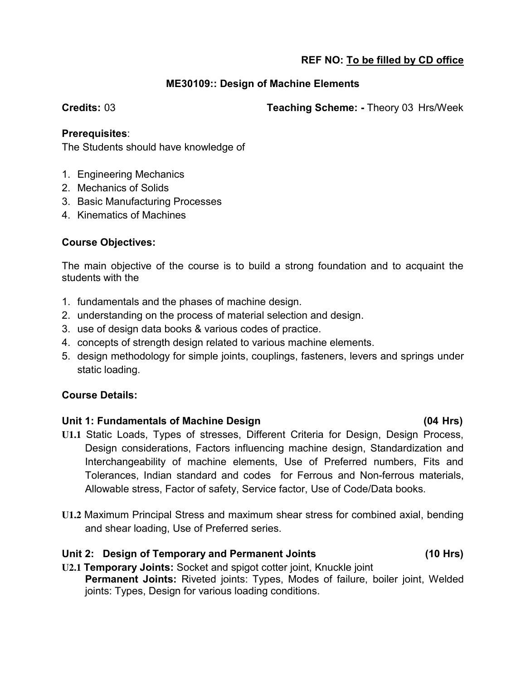#### **ME30109:: Design of Machine Elements**

#### **Credits:** 03 **Teaching Scheme: -** Theory 03 Hrs/Week

#### **Prerequisites**:

The Students should have knowledge of

- 1. Engineering Mechanics
- 2. Mechanics of Solids
- 3. Basic Manufacturing Processes
- 4. Kinematics of Machines

#### **Course Objectives:**

The main objective of the course is to build a strong foundation and to acquaint the students with the

- 1. fundamentals and the phases of machine design.
- 2. understanding on the process of material selection and design.
- 3. use of design data books & various codes of practice.
- 4. concepts of strength design related to various machine elements.
- 5. design methodology for simple joints, couplings, fasteners, levers and springs under static loading.

#### **Course Details:**

#### **Unit 1: Fundamentals of Machine Design (04 Hrs)**

- **U1.1** Static Loads, Types of stresses, Different Criteria for Design, Design Process, Design considerations, Factors influencing machine design, Standardization and Interchangeability of machine elements, Use of Preferred numbers, Fits and Tolerances, Indian standard and codes for Ferrous and Non-ferrous materials, Allowable stress, Factor of safety, Service factor, Use of Code/Data books.
- **U1.2** Maximum Principal Stress and maximum shear stress for combined axial, bending and shear loading, Use of Preferred series.

#### **Unit 2: Design of Temporary and Permanent Joints (10 Hrs)**

**U2.1 Temporary Joints:** Socket and spigot cotter joint, Knuckle joint **Permanent Joints:** Riveted joints: Types, Modes of failure, boiler joint, Welded joints: Types, Design for various loading conditions.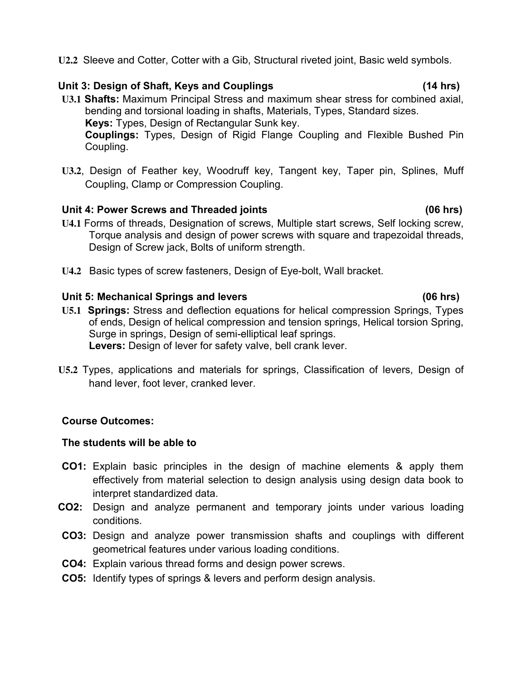**U2.2** Sleeve and Cotter, Cotter with a Gib, Structural riveted joint, Basic weld symbols.

#### **Unit 3: Design of Shaft, Keys and Couplings (14 hrs)**

- **U3.1 Shafts:** Maximum Principal Stress and maximum shear stress for combined axial, bending and torsional loading in shafts, Materials, Types, Standard sizes. **Keys:** Types, Design of Rectangular Sunk key. **Couplings:** Types, Design of Rigid Flange Coupling and Flexible Bushed Pin Coupling.
- **U3.2**, Design of Feather key, Woodruff key, Tangent key, Taper pin, Splines, Muff Coupling, Clamp or Compression Coupling.

#### **Unit 4: Power Screws and Threaded joints (06 hrs)**

- **U4.1** Forms of threads, Designation of screws, Multiple start screws, Self locking screw, Torque analysis and design of power screws with square and trapezoidal threads, Design of Screw jack, Bolts of uniform strength.
- **U4.2** Basic types of screw fasteners, Design of Eye-bolt, Wall bracket.

#### Unit 5: Mechanical Springs and levers *Unit 5: Mechanical Springs and levers COS hrs*

- **U5.1 Springs:** Stress and deflection equations for helical compression Springs, Types of ends, Design of helical compression and tension springs, Helical torsion Spring, Surge in springs, Design of semi-elliptical leaf springs. **Levers:** Design of lever for safety valve, bell crank lever.
- **U5.2** Types, applications and materials for springs, Classification of levers, Design of hand lever, foot lever, cranked lever.

#### **Course Outcomes:**

#### **The students will be able to**

- **CO1:** Explain basic principles in the design of machine elements & apply them effectively from material selection to design analysis using design data book to interpret standardized data.
- **CO2:** Design and analyze permanent and temporary joints under various loading conditions.
- **CO3:** Design and analyze power transmission shafts and couplings with different geometrical features under various loading conditions.
- **CO4:** Explain various thread forms and design power screws.
- **CO5:** Identify types of springs & levers and perform design analysis.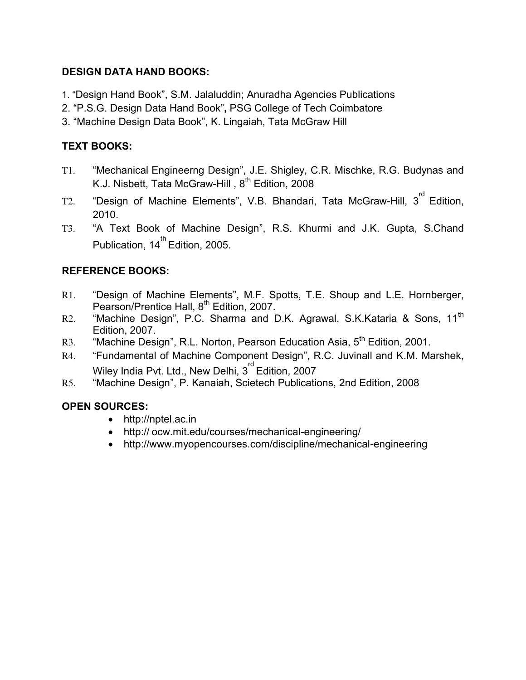#### **DESIGN DATA HAND BOOKS:**

- 1. "Design Hand Book", S.M. Jalaluddin; Anuradha Agencies Publications
- 2. "P.S.G. Design Data Hand Book"**,** PSG College of Tech Coimbatore
- 3. "Machine Design Data Book", K. Lingaiah, Tata McGraw Hill

# **TEXT BOOKS:**

- T1. "Mechanical Engineerng Design", J.E. Shigley, C.R. Mischke, R.G. Budynas and K.J. Nisbett, Tata McGraw-Hill, 8<sup>th</sup> Edition, 2008
- T2. "Design of Machine Elements", V.B. Bhandari, Tata McGraw-Hill, 3 rd Edition, 2010.
- T3. "A Text Book of Machine Design", R.S. Khurmi and J.K. Gupta, S.Chand Publication, 14<sup>th</sup> Edition, 2005.

#### **REFERENCE BOOKS:**

- R1. "Design of Machine Elements", M.F. Spotts, T.E. Shoup and L.E. Hornberger, Pearson/Prentice Hall, 8<sup>th</sup> Edition, 2007.
- R2. "Machine Design", P.C. Sharma and D.K. Agrawal, S.K.Kataria & Sons, 11<sup>th</sup> Edition, 2007.
- R3. "Machine Design", R.L. Norton, Pearson Education Asia, 5<sup>th</sup> Edition, 2001.
- R4. "Fundamental of Machine Component Design", R.C. Juvinall and K.M. Marshek, Wiley India Pvt. Ltd., New Delhi,  $3^{^{\text{rd}}}$  Edition, 2007
- R5. "Machine Design", P. Kanaiah, Scietech Publications, 2nd Edition, 2008

#### **OPEN SOURCES:**

- http://nptel.ac.in
- http:// ocw.mit.edu/courses/mechanical-engineering/
- http://www.myopencourses.com/discipline/mechanical-engineering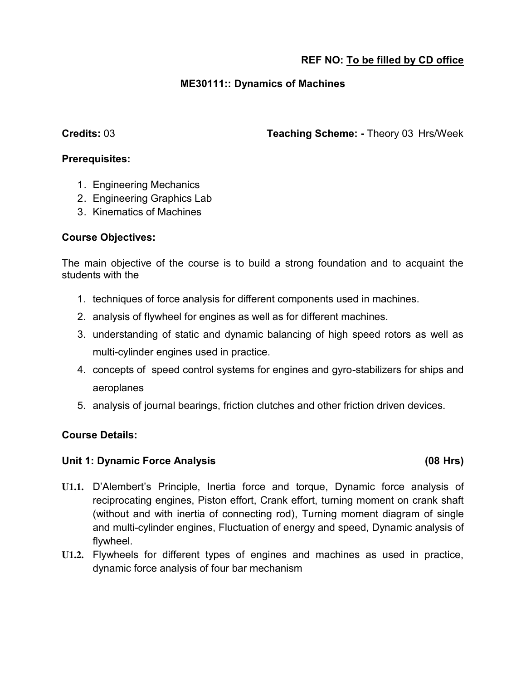#### **ME30111:: Dynamics of Machines**

**Credits:** 03 **Teaching Scheme: -** Theory 03 Hrs/Week

#### **Prerequisites:**

- 1. Engineering Mechanics
- 2. Engineering Graphics Lab
- 3. Kinematics of Machines

#### **Course Objectives:**

The main objective of the course is to build a strong foundation and to acquaint the students with the

- 1. techniques of force analysis for different components used in machines.
- 2. analysis of flywheel for engines as well as for different machines.
- 3. understanding of static and dynamic balancing of high speed rotors as well as multi-cylinder engines used in practice.
- 4. concepts of speed control systems for engines and gyro-stabilizers for ships and aeroplanes
- 5. analysis of journal bearings, friction clutches and other friction driven devices.

#### **Course Details:**

#### **Unit 1: Dynamic Force Analysis (08 Hrs)**

- **U1.1.** D'Alembert's Principle, Inertia force and torque, Dynamic force analysis of reciprocating engines, Piston effort, Crank effort, turning moment on crank shaft (without and with inertia of connecting rod), Turning moment diagram of single and multi-cylinder engines, Fluctuation of energy and speed, Dynamic analysis of flywheel.
- **U1.2.** Flywheels for different types of engines and machines as used in practice, dynamic force analysis of four bar mechanism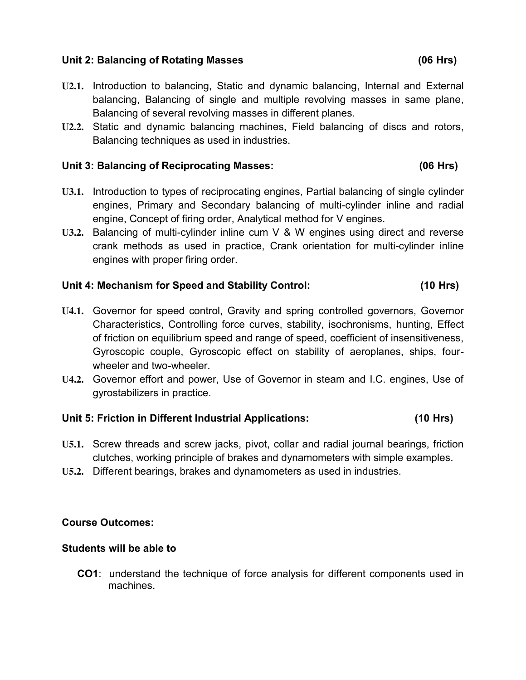#### **Unit 2: Balancing of Rotating Masses (06 Hrs)**

- **U2.1.** Introduction to balancing, Static and dynamic balancing, Internal and External balancing, Balancing of single and multiple revolving masses in same plane, Balancing of several revolving masses in different planes.
- **U2.2.** Static and dynamic balancing machines, Field balancing of discs and rotors, Balancing techniques as used in industries.

#### **Unit 3: Balancing of Reciprocating Masses: (06 Hrs)**

- **U3.1.** Introduction to types of reciprocating engines, Partial balancing of single cylinder engines, Primary and Secondary balancing of multi-cylinder inline and radial engine, Concept of firing order, Analytical method for V engines.
- **U3.2.** Balancing of multi-cylinder inline cum V & W engines using direct and reverse crank methods as used in practice, Crank orientation for multi-cylinder inline engines with proper firing order.

#### **Unit 4: Mechanism for Speed and Stability Control: (10 Hrs)**

- **U4.1.** Governor for speed control, Gravity and spring controlled governors, Governor Characteristics, Controlling force curves, stability, isochronisms, hunting, Effect of friction on equilibrium speed and range of speed, coefficient of insensitiveness, Gyroscopic couple, Gyroscopic effect on stability of aeroplanes, ships, fourwheeler and two-wheeler.
- **U4.2.** Governor effort and power, Use of Governor in steam and I.C. engines, Use of gyrostabilizers in practice.

#### **Unit 5: Friction in Different Industrial Applications: (10 Hrs)**

- **U5.1.** Screw threads and screw jacks, pivot, collar and radial journal bearings, friction clutches, working principle of brakes and dynamometers with simple examples.
- **U5.2.** Different bearings, brakes and dynamometers as used in industries.

#### **Course Outcomes:**

#### **Students will be able to**

**CO1**: understand the technique of force analysis for different components used in machines.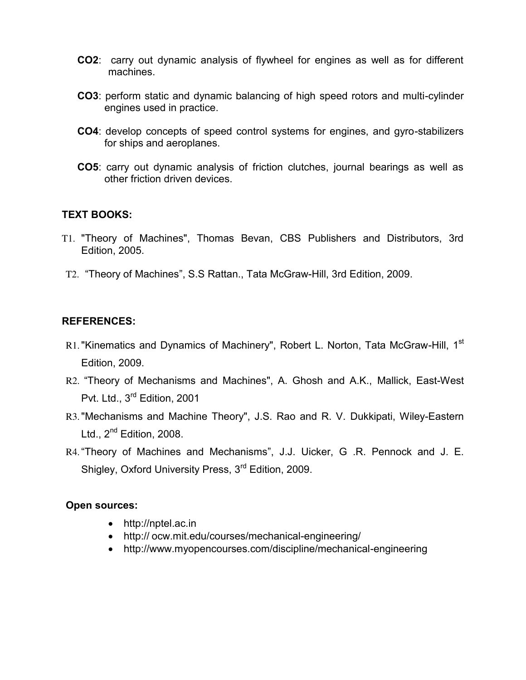- **CO2**: carry out dynamic analysis of flywheel for engines as well as for different machines.
- **CO3**: perform static and dynamic balancing of high speed rotors and multi-cylinder engines used in practice.
- **CO4**: develop concepts of speed control systems for engines, and gyro-stabilizers for ships and aeroplanes.
- **CO5**: carry out dynamic analysis of friction clutches, journal bearings as well as other friction driven devices.

#### **TEXT BOOKS:**

- T1. "Theory of Machines", Thomas Bevan, CBS Publishers and Distributors, 3rd Edition, 2005.
- T2. "Theory of Machines", S.S Rattan., Tata McGraw-Hill, 3rd Edition, 2009.

#### **REFERENCES:**

- R1. "Kinematics and Dynamics of Machinery", Robert L. Norton, Tata McGraw-Hill, 1<sup>st</sup> Edition, 2009.
- R2. "Theory of Mechanisms and Machines", A. Ghosh and A.K., Mallick, East-West Pvt. Ltd., 3<sup>rd</sup> Edition, 2001
- R3."Mechanisms and Machine Theory", J.S. Rao and R. V. Dukkipati, Wiley-Eastern Ltd., 2<sup>nd</sup> Edition, 2008.
- R4."Theory of Machines and Mechanisms", J.J. Uicker, G .R. Pennock and J. E. Shigley, Oxford University Press, 3<sup>rd</sup> Edition, 2009.

#### **Open sources:**

- http://nptel.ac.in
- http:// ocw.mit.edu/courses/mechanical-engineering/
- http://www.myopencourses.com/discipline/mechanical-engineering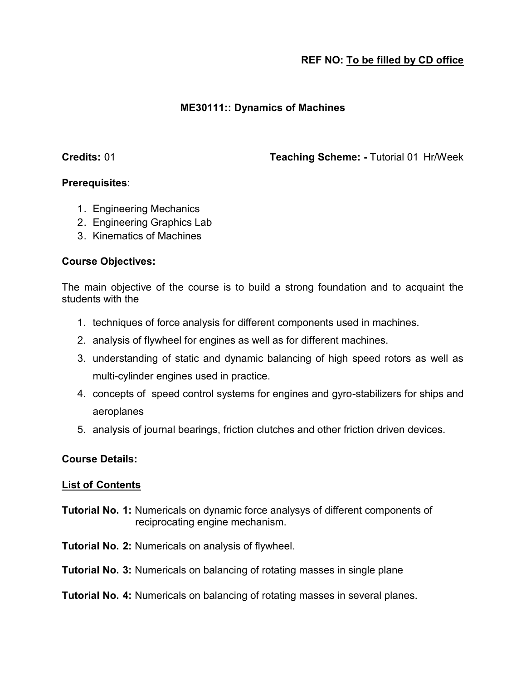#### **ME30111:: Dynamics of Machines**

**Credits:** 01 **Teaching Scheme: -** Tutorial 01 Hr/Week

#### **Prerequisites**:

- 1. Engineering Mechanics
- 2. Engineering Graphics Lab
- 3. Kinematics of Machines

#### **Course Objectives:**

The main objective of the course is to build a strong foundation and to acquaint the students with the

- 1. techniques of force analysis for different components used in machines.
- 2. analysis of flywheel for engines as well as for different machines.
- 3. understanding of static and dynamic balancing of high speed rotors as well as multi-cylinder engines used in practice.
- 4. concepts of speed control systems for engines and gyro-stabilizers for ships and aeroplanes
- 5. analysis of journal bearings, friction clutches and other friction driven devices.

#### **Course Details:**

#### **List of Contents**

- **Tutorial No. 1:** Numericals on dynamic force analysys of different components of reciprocating engine mechanism.
- **Tutorial No. 2:** Numericals on analysis of flywheel.
- **Tutorial No. 3:** Numericals on balancing of rotating masses in single plane

#### **Tutorial No. 4:** Numericals on balancing of rotating masses in several planes.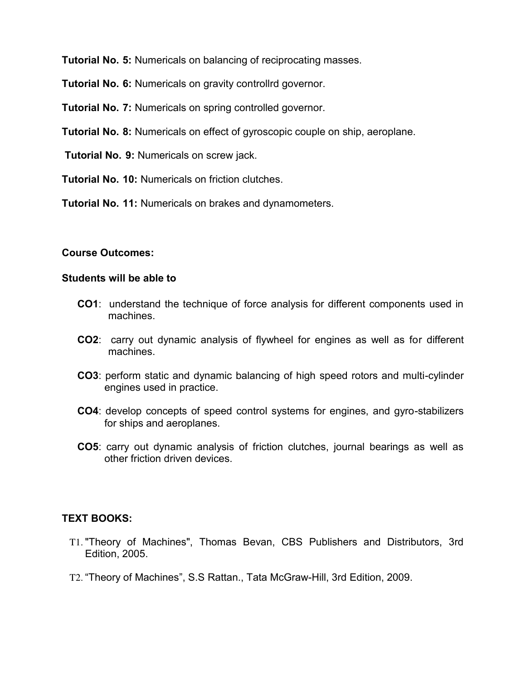- **Tutorial No. 5:** Numericals on balancing of reciprocating masses.
- **Tutorial No. 6:** Numericals on gravity controllrd governor.
- **Tutorial No. 7:** Numericals on spring controlled governor.
- **Tutorial No. 8:** Numericals on effect of gyroscopic couple on ship, aeroplane.
- **Tutorial No. 9:** Numericals on screw jack.
- **Tutorial No. 10:** Numericals on friction clutches.
- **Tutorial No. 11:** Numericals on brakes and dynamometers.

#### **Course Outcomes:**

#### **Students will be able to**

- **CO1**: understand the technique of force analysis for different components used in machines.
- **CO2**: carry out dynamic analysis of flywheel for engines as well as for different machines.
- **CO3**: perform static and dynamic balancing of high speed rotors and multi-cylinder engines used in practice.
- **CO4**: develop concepts of speed control systems for engines, and gyro-stabilizers for ships and aeroplanes.
- **CO5**: carry out dynamic analysis of friction clutches, journal bearings as well as other friction driven devices.

#### **TEXT BOOKS:**

- T1. "Theory of Machines", Thomas Bevan, CBS Publishers and Distributors, 3rd Edition, 2005.
- T2. "Theory of Machines", S.S Rattan., Tata McGraw-Hill, 3rd Edition, 2009.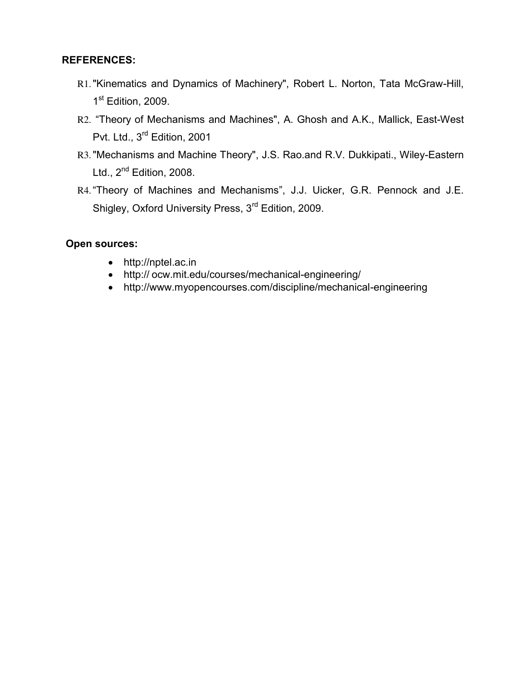#### **REFERENCES:**

- R1."Kinematics and Dynamics of Machinery", Robert L. Norton, Tata McGraw-Hill, 1<sup>st</sup> Edition, 2009.
- R2. "Theory of Mechanisms and Machines", A. Ghosh and A.K., Mallick, East-West Pvt. Ltd., 3<sup>rd</sup> Edition, 2001
- R3."Mechanisms and Machine Theory", J.S. Rao.and R.V. Dukkipati., Wiley-Eastern Ltd., 2<sup>nd</sup> Edition, 2008.
- R4."Theory of Machines and Mechanisms", J.J. Uicker, G.R. Pennock and J.E. Shigley, Oxford University Press, 3<sup>rd</sup> Edition, 2009.

#### **Open sources:**

- http://nptel.ac.in
- http:// ocw.mit.edu/courses/mechanical-engineering/
- http://www.myopencourses.com/discipline/mechanical-engineering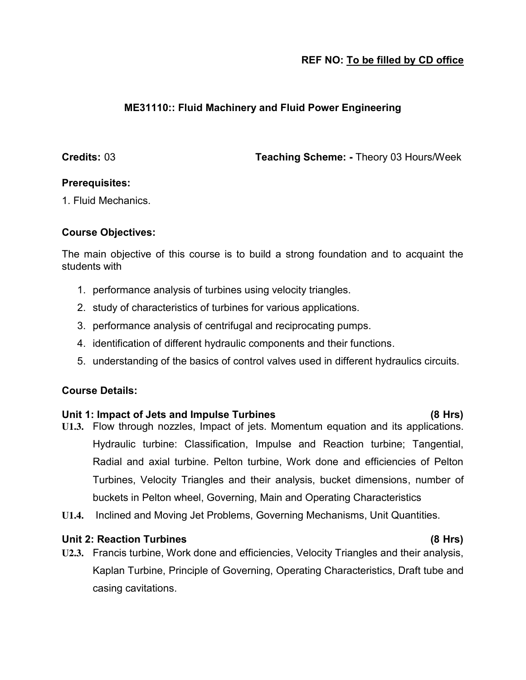#### **ME31110:: Fluid Machinery and Fluid Power Engineering**

**Credits:** 03 **Teaching Scheme: -** Theory 03 Hours/Week

#### **Prerequisites:**

1. Fluid Mechanics.

#### **Course Objectives:**

The main objective of this course is to build a strong foundation and to acquaint the students with

- 1. performance analysis of turbines using velocity triangles.
- 2. study of characteristics of turbines for various applications.
- 3. performance analysis of centrifugal and reciprocating pumps.
- 4. identification of different hydraulic components and their functions.
- 5. understanding of the basics of control valves used in different hydraulics circuits.

#### **Course Details:**

#### **Unit 1: Impact of Jets and Impulse Turbines (8 Hrs)**

- **U1.3.** Flow through nozzles, Impact of jets. Momentum equation and its applications. Hydraulic turbine: Classification, Impulse and Reaction turbine; Tangential, Radial and axial turbine. Pelton turbine, Work done and efficiencies of Pelton Turbines, Velocity Triangles and their analysis, bucket dimensions, number of buckets in Pelton wheel, Governing, Main and Operating Characteristics
- **U1.4.** Inclined and Moving Jet Problems, Governing Mechanisms, Unit Quantities.

#### **Unit 2: Reaction Turbines (8 Hrs)**

**U2.3.** Francis turbine, Work done and efficiencies, Velocity Triangles and their analysis, Kaplan Turbine, Principle of Governing, Operating Characteristics, Draft tube and casing cavitations.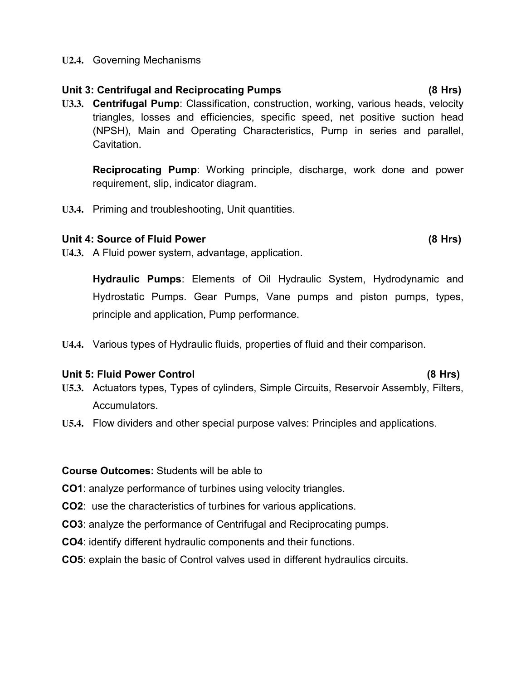#### **U2.4.** Governing Mechanisms

#### **Unit 3: Centrifugal and Reciprocating Pumps (8 Hrs)**

**U3.3. Centrifugal Pump**: Classification, construction, working, various heads, velocity triangles, losses and efficiencies, specific speed, net positive suction head (NPSH), Main and Operating Characteristics, Pump in series and parallel, Cavitation.

**Reciprocating Pump**: Working principle, discharge, work done and power requirement, slip, indicator diagram.

**U3.4.** Priming and troubleshooting, Unit quantities.

#### Unit 4: Source of Fluid Power (8 Hrs)

**U4.3.** A Fluid power system, advantage, application.

**Hydraulic Pumps**: Elements of Oil Hydraulic System, Hydrodynamic and Hydrostatic Pumps. Gear Pumps, Vane pumps and piston pumps, types, principle and application, Pump performance.

**U4.4.** Various types of Hydraulic fluids, properties of fluid and their comparison.

#### **Unit 5: Fluid Power Control (8 Hrs)**

- **U5.3.** Actuators types, Types of cylinders, Simple Circuits, Reservoir Assembly, Filters, Accumulators.
- **U5.4.** Flow dividers and other special purpose valves: Principles and applications.

#### **Course Outcomes:** Students will be able to

- **CO1**: analyze performance of turbines using velocity triangles.
- **CO2**: use the characteristics of turbines for various applications.
- **CO3**: analyze the performance of Centrifugal and Reciprocating pumps.
- **CO4**: identify different hydraulic components and their functions.
- **CO5**: explain the basic of Control valves used in different hydraulics circuits.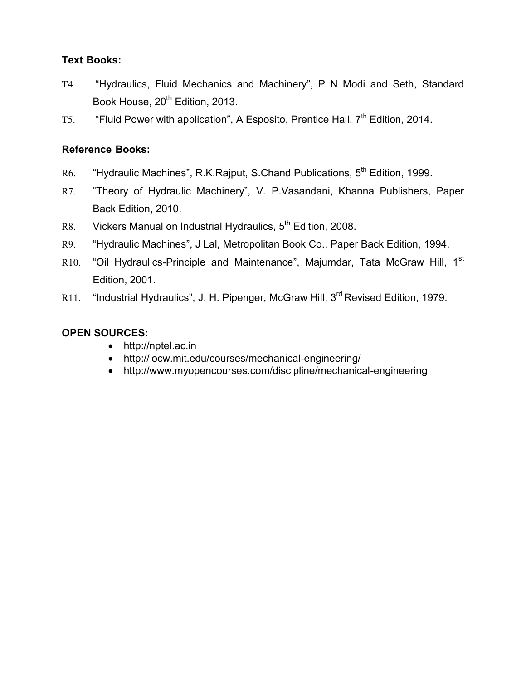## **Text Books:**

- T4. "Hydraulics, Fluid Mechanics and Machinery", P N Modi and Seth, Standard Book House, 20<sup>th</sup> Edition, 2013.
- T5. "Fluid Power with application", A Esposito, Prentice Hall, 7<sup>th</sup> Edition, 2014.

#### **Reference Books:**

- R6. "Hydraulic Machines", R.K.Rajput, S.Chand Publications, 5<sup>th</sup> Edition, 1999.
- R7. "Theory of Hydraulic Machinery", V. P.Vasandani, Khanna Publishers, Paper Back Edition, 2010.
- R8. Vickers Manual on Industrial Hydraulics, 5<sup>th</sup> Edition, 2008.
- R9. "Hydraulic Machines", J Lal, Metropolitan Book Co., Paper Back Edition, 1994.
- R10. "Oil Hydraulics-Principle and Maintenance", Majumdar, Tata McGraw Hill, 1<sup>st</sup> Edition, 2001.
- R11. "Industrial Hydraulics", J. H. Pipenger, McGraw Hill, 3<sup>rd</sup> Revised Edition, 1979.

# **OPEN SOURCES:**

- http://nptel.ac.in
- http:// ocw.mit.edu/courses/mechanical-engineering/
- http://www.myopencourses.com/discipline/mechanical-engineering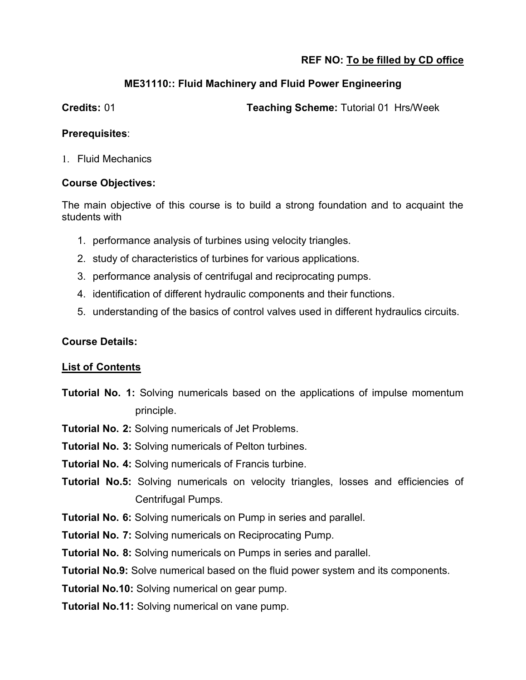### **ME31110:: Fluid Machinery and Fluid Power Engineering**

**Credits:** 01 **Teaching Scheme:** Tutorial 01 Hrs/Week

#### **Prerequisites**:

1. Fluid Mechanics

#### **Course Objectives:**

The main objective of this course is to build a strong foundation and to acquaint the students with

- 1. performance analysis of turbines using velocity triangles.
- 2. study of characteristics of turbines for various applications.
- 3. performance analysis of centrifugal and reciprocating pumps.
- 4. identification of different hydraulic components and their functions.
- 5. understanding of the basics of control valves used in different hydraulics circuits.

## **Course Details:**

#### **List of Contents**

- **Tutorial No. 1:** Solving numericals based on the applications of impulse momentum principle.
- **Tutorial No. 2:** Solving numericals of Jet Problems.
- **Tutorial No. 3:** Solving numericals of Pelton turbines.
- **Tutorial No. 4:** Solving numericals of Francis turbine.
- **Tutorial No.5:** Solving numericals on velocity triangles, losses and efficiencies of Centrifugal Pumps.
- **Tutorial No. 6:** Solving numericals on Pump in series and parallel.
- **Tutorial No. 7:** Solving numericals on Reciprocating Pump.
- **Tutorial No. 8:** Solving numericals on Pumps in series and parallel.

**Tutorial No.9:** Solve numerical based on the fluid power system and its components.

**Tutorial No.10:** Solving numerical on gear pump.

**Tutorial No.11:** Solving numerical on vane pump.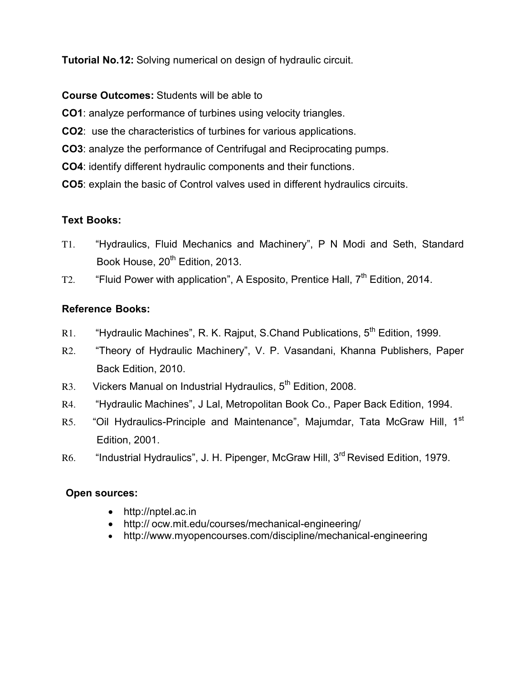**Tutorial No.12:** Solving numerical on design of hydraulic circuit.

**Course Outcomes:** Students will be able to

**CO1**: analyze performance of turbines using velocity triangles.

**CO2**: use the characteristics of turbines for various applications.

**CO3**: analyze the performance of Centrifugal and Reciprocating pumps.

- **CO4**: identify different hydraulic components and their functions.
- **CO5**: explain the basic of Control valves used in different hydraulics circuits.

#### **Text Books:**

- T1. "Hydraulics, Fluid Mechanics and Machinery", P N Modi and Seth, Standard Book House, 20<sup>th</sup> Edition, 2013.
- T2. "Fluid Power with application", A Esposito, Prentice Hall,  $7<sup>th</sup>$  Edition, 2014.

# **Reference Books:**

- R1. "Hydraulic Machines", R. K. Rajput, S.Chand Publications, 5<sup>th</sup> Edition, 1999.
- R2. "Theory of Hydraulic Machinery", V. P. Vasandani, Khanna Publishers, Paper Back Edition, 2010.
- R3. Vickers Manual on Industrial Hydraulics, 5<sup>th</sup> Edition, 2008.
- R4. "Hydraulic Machines", J Lal, Metropolitan Book Co., Paper Back Edition, 1994.
- R5. "Oil Hydraulics-Principle and Maintenance", Majumdar, Tata McGraw Hill, 1<sup>st</sup> Edition, 2001.
- R6. "Industrial Hydraulics", J. H. Pipenger, McGraw Hill, 3<sup>rd</sup> Revised Edition, 1979.

#### **Open sources:**

- http://nptel.ac.in
- http:// ocw.mit.edu/courses/mechanical-engineering/
- http://www.myopencourses.com/discipline/mechanical-engineering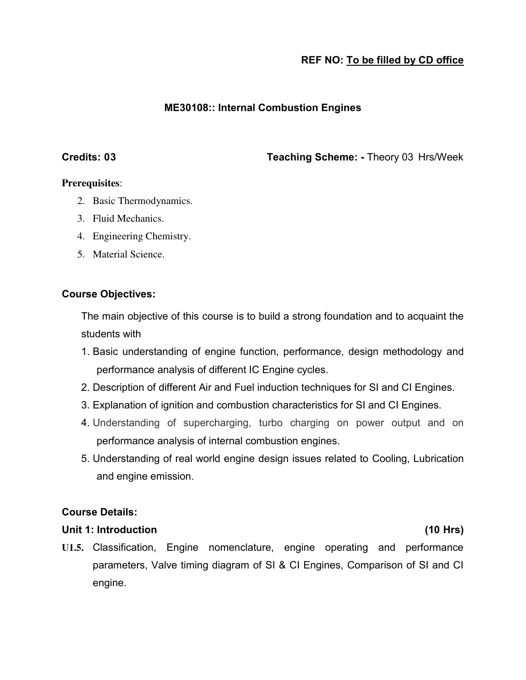#### **ME30108:: Internal Combustion Engines**

**Credits: 03 Teaching Scheme: -** Theory 03 Hrs/Week

#### **Prerequisites**:

- 2. Basic Thermodynamics.
- 3. Fluid Mechanics.
- 4. Engineering Chemistry.
- 5. Material Science.

#### **Course Objectives:**

The main objective of this course is to build a strong foundation and to acquaint the students with

- 1. Basic understanding of engine function, performance, design methodology and performance analysis of different IC Engine cycles.
- 2. Description of different Air and Fuel induction techniques for SI and CI Engines.
- 3. Explanation of ignition and combustion characteristics for SI and CI Engines.
- 4. Understanding of supercharging, turbo charging on power output and on performance analysis of internal combustion engines.
- 5. Understanding of real world engine design issues related to Cooling, Lubrication and engine emission.

#### **Course Details:**

#### **Unit 1: Introduction (10 Hrs)**

**U1.5.** Classification, Engine nomenclature, engine operating and performance parameters, Valve timing diagram of SI & CI Engines, Comparison of SI and CI engine.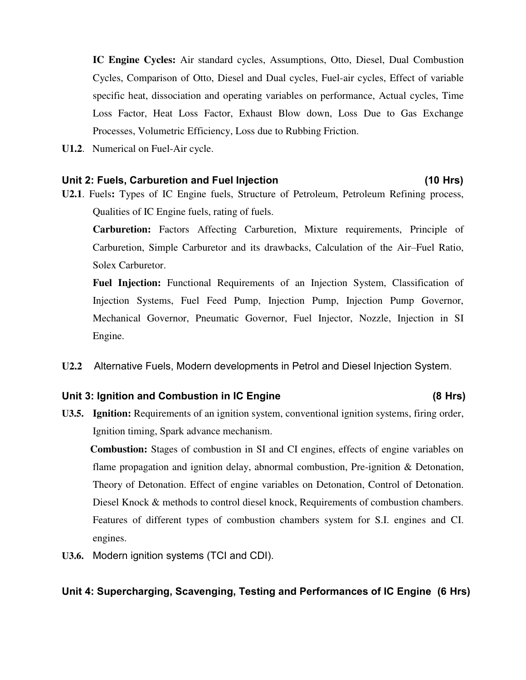**IC Engine Cycles:** Air standard cycles, Assumptions, Otto, Diesel, Dual Combustion Cycles, Comparison of Otto, Diesel and Dual cycles, Fuel-air cycles, Effect of variable specific heat, dissociation and operating variables on performance, Actual cycles, Time Loss Factor, Heat Loss Factor, Exhaust Blow down, Loss Due to Gas Exchange Processes, Volumetric Efficiency, Loss due to Rubbing Friction.

**U1.2**. Numerical on Fuel-Air cycle.

#### **Unit 2: Fuels, Carburetion and Fuel Injection (10 Hrs)**

**U2.1**. Fuels**:** Types of IC Engine fuels, Structure of Petroleum, Petroleum Refining process, Qualities of IC Engine fuels, rating of fuels.

**Carburetion:** Factors Affecting Carburetion, Mixture requirements, Principle of Carburetion, Simple Carburetor and its drawbacks, Calculation of the Air–Fuel Ratio, Solex Carburetor.

**Fuel Injection:** Functional Requirements of an Injection System, Classification of Injection Systems, Fuel Feed Pump, Injection Pump, Injection Pump Governor, Mechanical Governor, Pneumatic Governor, Fuel Injector, Nozzle, Injection in SI Engine.

**U2.2** Alternative Fuels, Modern developments in Petrol and Diesel Injection System.

#### Unit 3: Ignition and Combustion in IC Engine (8 Hrs)

**U3.5. Ignition:** Requirements of an ignition system, conventional ignition systems, firing order, Ignition timing, Spark advance mechanism.

 **Combustion:** Stages of combustion in SI and CI engines, effects of engine variables on flame propagation and ignition delay, abnormal combustion, Pre-ignition & Detonation, Theory of Detonation. Effect of engine variables on Detonation, Control of Detonation. Diesel Knock & methods to control diesel knock, Requirements of combustion chambers. Features of different types of combustion chambers system for S.I. engines and CI. engines.

**U3.6.** Modern ignition systems (TCI and CDI).

#### **Unit 4: Supercharging, Scavenging, Testing and Performances of IC Engine (6 Hrs)**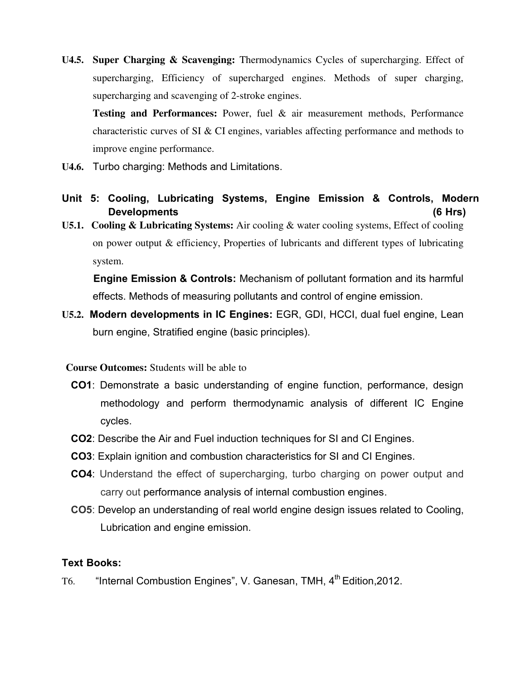**U4.5. Super Charging & Scavenging:** Thermodynamics Cycles of supercharging. Effect of supercharging, Efficiency of supercharged engines. Methods of super charging, supercharging and scavenging of 2-stroke engines.

**Testing and Performances:** Power, fuel & air measurement methods, Performance characteristic curves of SI & CI engines, variables affecting performance and methods to improve engine performance.

- **U4.6.** Turbo charging: Methods and Limitations.
- **Unit 5: Cooling, Lubricating Systems, Engine Emission & Controls, Modern Developments (6 Hrs)**
- **U5.1. Cooling & Lubricating Systems:** Air cooling & water cooling systems, Effect of cooling on power output & efficiency, Properties of lubricants and different types of lubricating system.

 **Engine Emission & Controls:** Mechanism of pollutant formation and its harmful effects. Methods of measuring pollutants and control of engine emission.

**U5.2. Modern developments in IC Engines:** EGR, GDI, HCCI, dual fuel engine, Lean burn engine, Stratified engine (basic principles).

#### **Course Outcomes:** Students will be able to

- **CO1**: Demonstrate a basic understanding of engine function, performance, design methodology and perform thermodynamic analysis of different IC Engine cycles.
- **CO2**: Describe the Air and Fuel induction techniques for SI and CI Engines.
- **CO3**: Explain ignition and combustion characteristics for SI and CI Engines.
- **CO4**: Understand the effect of supercharging, turbo charging on power output and carry out performance analysis of internal combustion engines.
- **CO5**: Develop an understanding of real world engine design issues related to Cooling, Lubrication and engine emission.

#### **Text Books:**

T6. "Internal Combustion Engines", V. Ganesan, TMH, 4<sup>th</sup> Edition, 2012.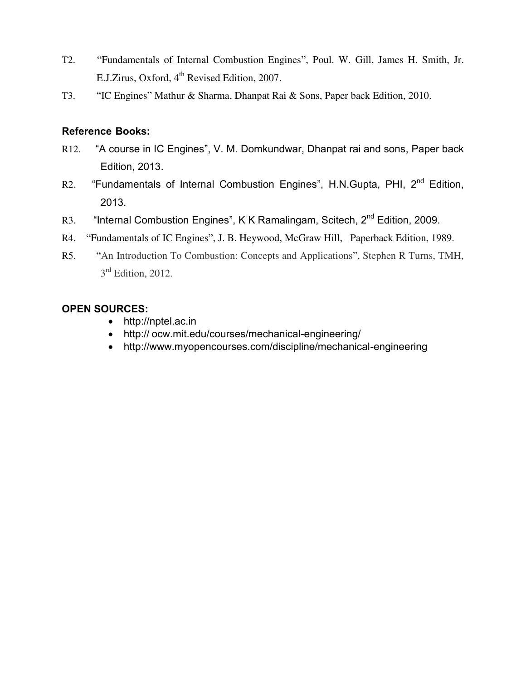- T2. "Fundamentals of Internal Combustion Engines", Poul. W. Gill, James H. Smith, Jr. E.J.Zirus, Oxford, 4<sup>th</sup> Revised Edition, 2007.
- T3. "IC Engines" Mathur & Sharma, Dhanpat Rai & Sons, Paper back Edition, 2010.

#### **Reference Books:**

- R12. "A course in IC Engines", V. M. Domkundwar, Dhanpat rai and sons, Paper back Edition, 2013.
- R2. "Fundamentals of Internal Combustion Engines", H.N.Gupta, PHI, 2<sup>nd</sup> Edition, 2013.
- R3. "Internal Combustion Engines", K K Ramalingam, Scitech, 2<sup>nd</sup> Edition, 2009.
- R4. "Fundamentals of IC Engines", J. B. Heywood, McGraw Hill, Paperback Edition, 1989.
- R5. "An Introduction To Combustion: Concepts and Applications", Stephen R Turns, TMH, 3<sup>rd</sup> Edition, 2012.

#### **OPEN SOURCES:**

- http://nptel.ac.in
- http:// ocw.mit.edu/courses/mechanical-engineering/
- http://www.myopencourses.com/discipline/mechanical-engineering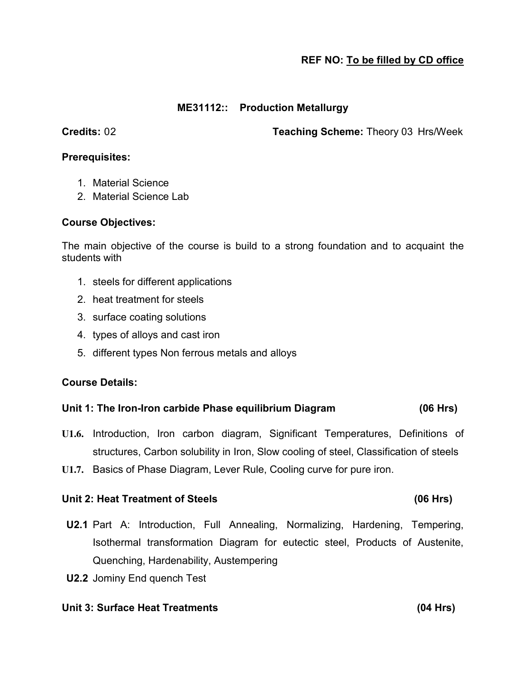#### **ME31112:: Production Metallurgy**

**Credits:** 02 **Teaching Scheme:** Theory 03 Hrs/Week

#### **Prerequisites:**

- 1. Material Science
- 2. Material Science Lab

#### **Course Objectives:**

The main objective of the course is build to a strong foundation and to acquaint the students with

- 1. steels for different applications
- 2. heat treatment for steels
- 3. surface coating solutions
- 4. types of alloys and cast iron
- 5. different types Non ferrous metals and alloys

#### **Course Details:**

#### **Unit 1: The Iron-Iron carbide Phase equilibrium Diagram (06 Hrs)**

- **U1.6.** Introduction, Iron carbon diagram, Significant Temperatures, Definitions of structures, Carbon solubility in Iron, Slow cooling of steel, Classification of steels
- **U1.7.** Basics of Phase Diagram, Lever Rule, Cooling curve for pure iron.

#### Unit 2: Heat Treatment of Steels (06 Hrs)

- **U2.1** Part A: Introduction, Full Annealing, Normalizing, Hardening, Tempering, Isothermal transformation Diagram for eutectic steel, Products of Austenite, Quenching, Hardenability, Austempering
- **U2.2** Jominy End quench Test

#### **Unit 3: Surface Heat Treatments (04 Hrs)**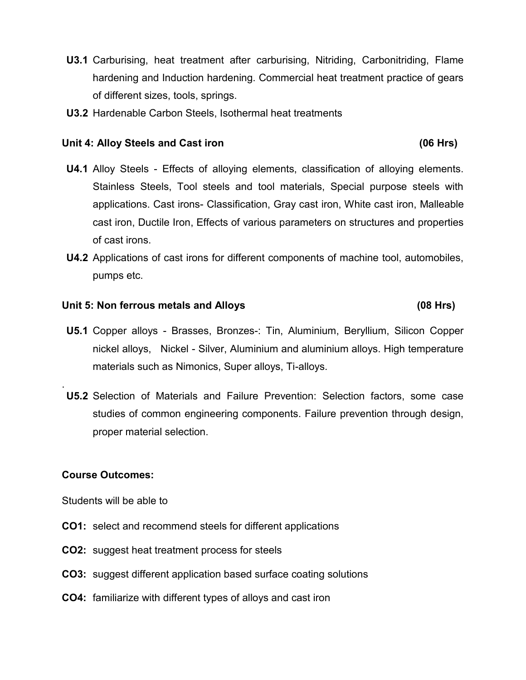- **U3.1** Carburising, heat treatment after carburising, Nitriding, Carbonitriding, Flame hardening and Induction hardening. Commercial heat treatment practice of gears of different sizes, tools, springs.
- **U3.2** Hardenable Carbon Steels, Isothermal heat treatments

#### Unit 4: Alloy Steels and Cast iron *Cast iron* **Cast is a set of the CAST** (06 Hrs)

- **U4.1** Alloy Steels Effects of alloying elements, classification of alloying elements. Stainless Steels, Tool steels and tool materials, Special purpose steels with applications. Cast irons- Classification, Gray cast iron, White cast iron, Malleable cast iron, Ductile Iron, Effects of various parameters on structures and properties of cast irons.
- **U4.2** Applications of cast irons for different components of machine tool, automobiles, pumps etc.

#### **Unit 5: Non ferrous metals and Alloys (08 Hrs)**

- **U5.1** Copper alloys Brasses, Bronzes-: Tin, Aluminium, Beryllium, Silicon Copper nickel alloys, Nickel - Silver, Aluminium and aluminium alloys. High temperature materials such as Nimonics, Super alloys, Ti-alloys.
- **U5.2** Selection of Materials and Failure Prevention: Selection factors, some case studies of common engineering components. Failure prevention through design, proper material selection.

#### **Course Outcomes:**

.

Students will be able to

- **CO1:** select and recommend steels for different applications
- **CO2:** suggest heat treatment process for steels
- **CO3:** suggest different application based surface coating solutions
- **CO4:** familiarize with different types of alloys and cast iron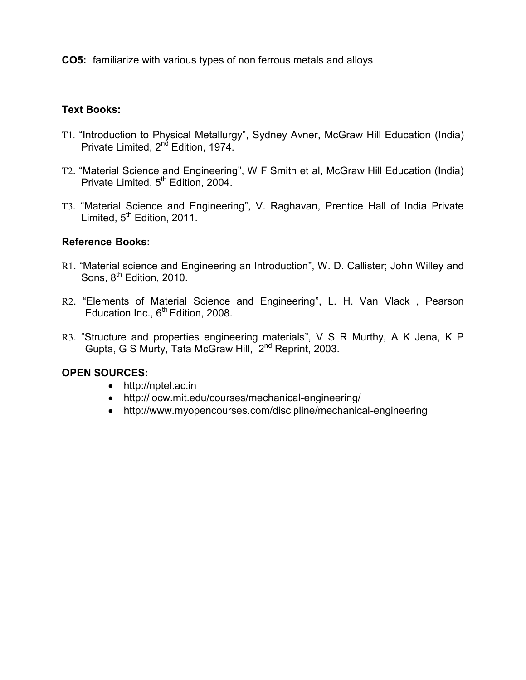**CO5:** familiarize with various types of non ferrous metals and alloys

#### **Text Books:**

- T1. "Introduction to Physical Metallurgy", Sydney Avner, McGraw Hill Education (India) Private Limited, 2<sup>nd</sup> Edition, 1974.
- T2. "Material Science and Engineering", W F Smith et al, McGraw Hill Education (India) Private Limited, 5<sup>th</sup> Edition, 2004.
- T3. "Material Science and Engineering", V. Raghavan, Prentice Hall of India Private Limited, 5<sup>th</sup> Edition, 2011.

#### **Reference Books:**

- R1. "Material science and Engineering an Introduction", W. D. Callister; John Willey and Sons, 8<sup>th</sup> Edition, 2010.
- R2. "Elements of Material Science and Engineering", L. H. Van Vlack , Pearson Education Inc.,  $6<sup>th</sup>$  Edition, 2008.
- R3. "Structure and properties engineering materials", V S R Murthy, A K Jena, K P Gupta, G S Murty, Tata McGraw Hill, 2nd Reprint, 2003.

#### **OPEN SOURCES:**

- http://nptel.ac.in
- http:// ocw.mit.edu/courses/mechanical-engineering/
- http://www.myopencourses.com/discipline/mechanical-engineering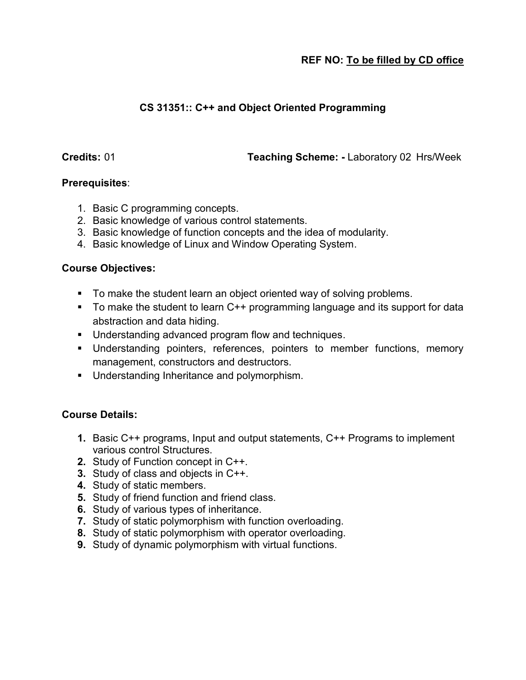# **CS 31351:: C++ and Object Oriented Programming**

**Credits:** 01 **Teaching Scheme: -** Laboratory 02 Hrs/Week

#### **Prerequisites**:

- 1. Basic C programming concepts.
- 2. Basic knowledge of various control statements.
- 3. Basic knowledge of function concepts and the idea of modularity.
- 4. Basic knowledge of Linux and Window Operating System.

#### **Course Objectives:**

- To make the student learn an object oriented way of solving problems.
- To make the student to learn C++ programming language and its support for data abstraction and data hiding.
- **Understanding advanced program flow and techniques.**
- Understanding pointers, references, pointers to member functions, memory management, constructors and destructors.
- **Understanding Inheritance and polymorphism.**

#### **Course Details:**

- **1.** Basic C++ programs, Input and output statements, C++ Programs to implement various control Structures.
- **2.** Study of Function concept in C++.
- **3.** Study of class and objects in C++.
- **4.** Study of static members.
- **5.** Study of friend function and friend class.
- **6.** Study of various types of inheritance.
- **7.** Study of static polymorphism with function overloading.
- **8.** Study of static polymorphism with operator overloading.
- **9.** Study of dynamic polymorphism with virtual functions.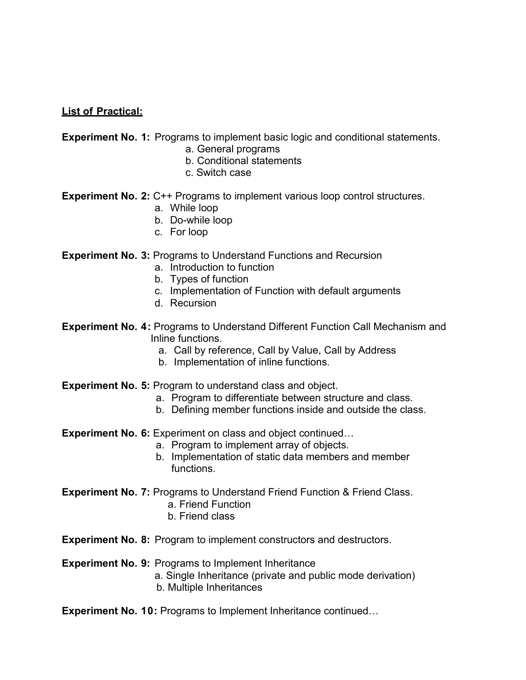#### **List of Practical:**

**Experiment No. 1:** Programs to implement basic logic and conditional statements.

- a. General programs
- b. Conditional statements
- c. Switch case

**Experiment No. 2: C++ Programs to implement various loop control structures.** 

- a. While loop
- b. Do-while loop
- c. For loop

#### **Experiment No. 3: Programs to Understand Functions and Recursion**

- a. Introduction to function
- b. Types of function
- c. Implementation of Function with default arguments
- d. Recursion
- **Experiment No. 4: Programs to Understand Different Function Call Mechanism and**  Inline functions.
	- a. Call by reference, Call by Value, Call by Address
	- b. Implementation of inline functions.
- **Experiment No. 5:** Program to understand class and object.
	- a. Program to differentiate between structure and class.
	- b. Defining member functions inside and outside the class.
- **Experiment No. 6:** Experiment on class and object continued...
	- a. Program to implement array of objects.
	- b. Implementation of static data members and member functions.
- **Experiment No. 7: Programs to Understand Friend Function & Friend Class.** 
	- a. Friend Function
	- b. Friend class

**Experiment No. 8:** Program to implement constructors and destructors.

#### **Experiment No. 9:** Programs to Implement Inheritance

a. Single Inheritance (private and public mode derivation) b. Multiple Inheritances

**Experiment No. 10: Programs to Implement Inheritance continued...**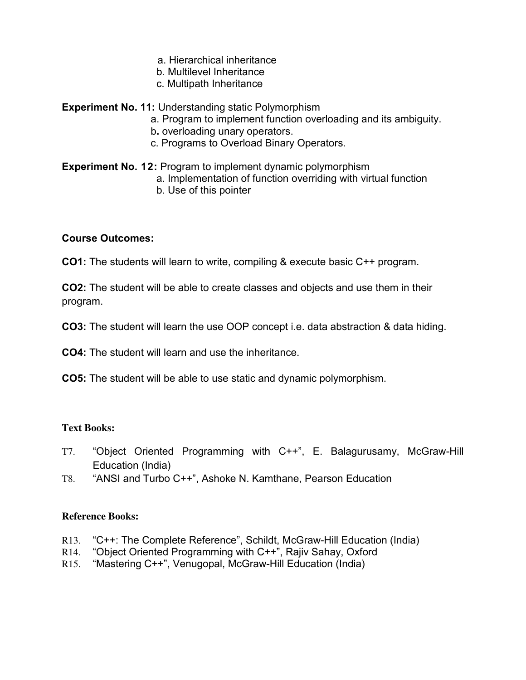- a. Hierarchical inheritance
- b. Multilevel Inheritance
- c. Multipath Inheritance

**Experiment No. 11:** Understanding static Polymorphism

- a. Program to implement function overloading and its ambiguity.
- b**.** overloading unary operators.
- c. Programs to Overload Binary Operators.

#### **Experiment No. 12: Program to implement dynamic polymorphism**  a. Implementation of function overriding with virtual function b. Use of this pointer

#### **Course Outcomes:**

**CO1:** The students will learn to write, compiling & execute basic C++ program.

**CO2:** The student will be able to create classes and objects and use them in their program.

**CO3:** The student will learn the use OOP concept i.e. data abstraction & data hiding.

**CO4:** The student will learn and use the inheritance.

**CO5:** The student will be able to use static and dynamic polymorphism.

#### **Text Books:**

- T7. "Object Oriented Programming with C++", E. Balagurusamy, McGraw-Hill Education (India)
- T8. "ANSI and Turbo C++", Ashoke N. Kamthane, Pearson Education

#### **Reference Books:**

- R13. "C++: The Complete Reference", Schildt, McGraw-Hill Education (India)
- R14. "Object Oriented Programming with C++", Rajiv Sahay, Oxford
- R15. "Mastering C++", Venugopal, McGraw-Hill Education (India)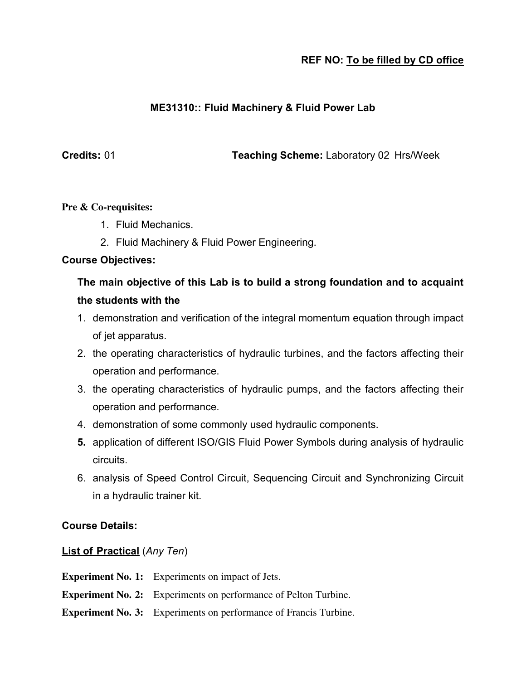#### **ME31310:: Fluid Machinery & Fluid Power Lab**

**Credits:** 01 **Teaching Scheme:** Laboratory 02 Hrs/Week

#### **Pre & Co-requisites:**

- 1. Fluid Mechanics.
- 2. Fluid Machinery & Fluid Power Engineering.

#### **Course Objectives:**

# **The main objective of this Lab is to build a strong foundation and to acquaint the students with the**

- 1. demonstration and verification of the integral momentum equation through impact of jet apparatus.
- 2. the operating characteristics of hydraulic turbines, and the factors affecting their operation and performance.
- 3. the operating characteristics of hydraulic pumps, and the factors affecting their operation and performance.
- 4. demonstration of some commonly used hydraulic components.
- **5.** application of different ISO/GIS Fluid Power Symbols during analysis of hydraulic circuits.
- 6. analysis of Speed Control Circuit, Sequencing Circuit and Synchronizing Circuit in a hydraulic trainer kit.

#### **Course Details:**

#### **List of Practical** (*Any Ten*)

**Experiment No. 1:** Experiments on impact of Jets.

- **Experiment No. 2:** Experiments on performance of Pelton Turbine.
- **Experiment No. 3:** Experiments on performance of Francis Turbine.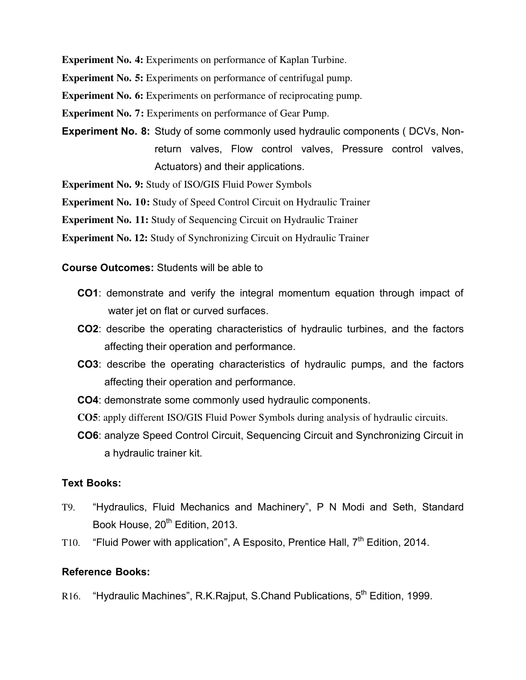**Experiment No. 4:** Experiments on performance of Kaplan Turbine.

**Experiment No. 5:** Experiments on performance of centrifugal pump.

**Experiment No. 6:** Experiments on performance of reciprocating pump.

**Experiment No. 7:** Experiments on performance of Gear Pump.

**Experiment No. 8:** Study of some commonly used hydraulic components ( DCVs, Nonreturn valves, Flow control valves, Pressure control valves, Actuators) and their applications.

**Experiment No. 9:** Study of ISO/GIS Fluid Power Symbols

**Experiment No. 10:** Study of Speed Control Circuit on Hydraulic Trainer

**Experiment No. 11:** Study of Sequencing Circuit on Hydraulic Trainer

**Experiment No. 12:** Study of Synchronizing Circuit on Hydraulic Trainer

**Course Outcomes:** Students will be able to

- **CO1**: demonstrate and verify the integral momentum equation through impact of water jet on flat or curved surfaces.
- **CO2**: describe the operating characteristics of hydraulic turbines, and the factors affecting their operation and performance.
- **CO3**: describe the operating characteristics of hydraulic pumps, and the factors affecting their operation and performance.
- **CO4**: demonstrate some commonly used hydraulic components.
- **CO5**: apply different ISO/GIS Fluid Power Symbols during analysis of hydraulic circuits.
- **CO6**: analyze Speed Control Circuit, Sequencing Circuit and Synchronizing Circuit in a hydraulic trainer kit.

#### **Text Books:**

- T9. "Hydraulics, Fluid Mechanics and Machinery", P N Modi and Seth, Standard Book House, 20<sup>th</sup> Edition, 2013.
- T10. "Fluid Power with application", A Esposito, Prentice Hall,  $7<sup>th</sup>$  Edition, 2014.

#### **Reference Books:**

R16. "Hydraulic Machines", R.K.Rajput, S.Chand Publications, 5<sup>th</sup> Edition, 1999.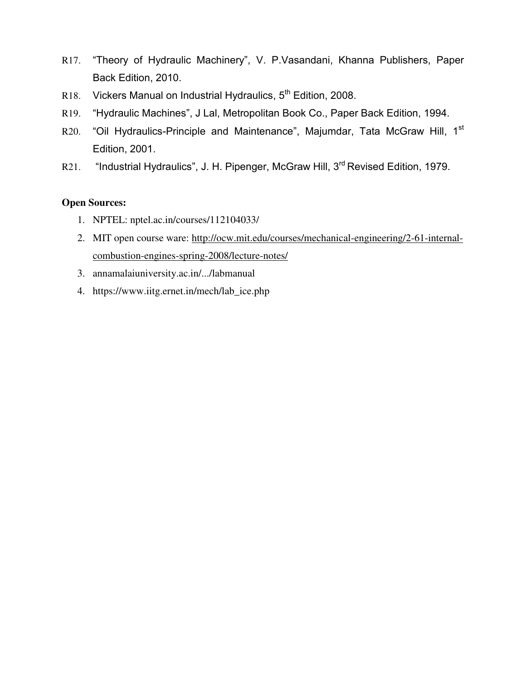- R17. "Theory of Hydraulic Machinery", V. P.Vasandani, Khanna Publishers, Paper Back Edition, 2010.
- R18. Vickers Manual on Industrial Hydraulics, 5<sup>th</sup> Edition, 2008.
- R19. "Hydraulic Machines", J Lal, Metropolitan Book Co., Paper Back Edition, 1994.
- R20. "Oil Hydraulics-Principle and Maintenance", Majumdar, Tata McGraw Hill, 1<sup>st</sup> Edition, 2001.
- R21. "Industrial Hydraulics", J. H. Pipenger, McGraw Hill, 3<sup>rd</sup> Revised Edition, 1979.

#### **Open Sources:**

- 1. NPTEL: nptel.ac.in/courses/112104033/
- 2. MIT open course ware: [http://ocw.mit.edu/courses/mechanical-engineering/2-61-internal](http://ocw.mit.edu/courses/mechanical-engineering/2-61-internal-combustion-engines-spring-2008/lecture-notes/)[combustion-engines-spring-2008/lecture-notes/](http://ocw.mit.edu/courses/mechanical-engineering/2-61-internal-combustion-engines-spring-2008/lecture-notes/)
- 3. annamalaiuniversity.ac.in/.../labmanual
- 4. https://www.iitg.ernet.in/mech/lab\_ice.php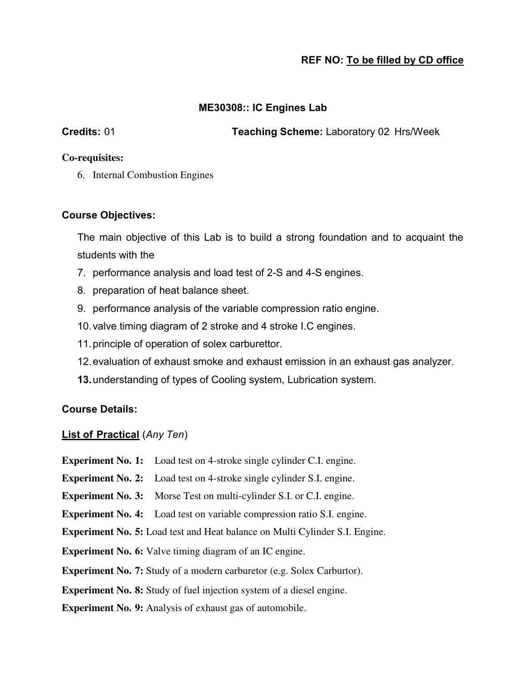#### **ME30308:: IC Engines Lab**

**Credits:** 01 **Teaching Scheme:** Laboratory 02 Hrs/Week

#### **Co-requisites:**

6. Internal Combustion Engines

#### **Course Objectives:**

The main objective of this Lab is to build a strong foundation and to acquaint the students with the

- 7. performance analysis and load test of 2-S and 4-S engines.
- 8. preparation of heat balance sheet.
- 9. performance analysis of the variable compression ratio engine.
- 10. valve timing diagram of 2 stroke and 4 stroke I.C engines.
- 11. principle of operation of solex carburettor.
- 12. evaluation of exhaust smoke and exhaust emission in an exhaust gas analyzer.
- **13.**understanding of types of Cooling system, Lubrication system.

#### **Course Details:**

#### **List of Practical** (*Any Ten*)

- **Experiment No. 1:** Load test on 4-stroke single cylinder C.I. engine.
- **Experiment No. 2:** Load test on 4-stroke single cylinder S.I. engine.
- **Experiment No. 3:** Morse Test on multi-cylinder S.I. or C.I. engine.
- **Experiment No. 4:** Load test on variable compression ratio S.I. engine.
- **Experiment No. 5:** Load test and Heat balance on Multi Cylinder S.I. Engine.
- **Experiment No. 6:** Valve timing diagram of an IC engine.
- **Experiment No. 7:** Study of a modern carburetor (e.g. Solex Carburtor).

#### **Experiment No. 8:** Study of fuel injection system of a diesel engine.

**Experiment No. 9:** Analysis of exhaust gas of automobile.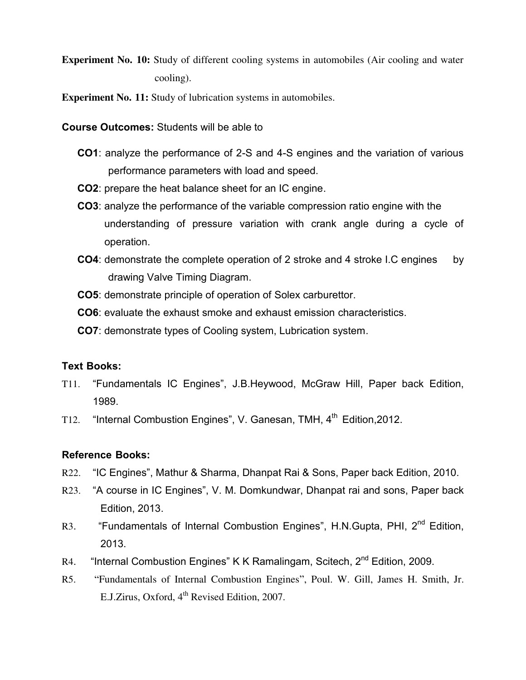**Experiment No. 10:** Study of different cooling systems in automobiles (Air cooling and water cooling).

**Experiment No. 11:** Study of lubrication systems in automobiles.

**Course Outcomes:** Students will be able to

- **CO1**: analyze the performance of 2-S and 4-S engines and the variation of various performance parameters with load and speed.
- **CO2**: prepare the heat balance sheet for an IC engine.
- **CO3**: analyze the performance of the variable compression ratio engine with the understanding of pressure variation with crank angle during a cycle of operation.
- **CO4**: demonstrate the complete operation of 2 stroke and 4 stroke I.C engines by drawing Valve Timing Diagram.
- **CO5**: demonstrate principle of operation of Solex carburettor.
- **CO6**: evaluate the exhaust smoke and exhaust emission characteristics.
- **CO7**: demonstrate types of Cooling system, Lubrication system.

#### **Text Books:**

- T11. "Fundamentals IC Engines", J.B.Heywood, McGraw Hill, Paper back Edition, 1989.
- T12. "Internal Combustion Engines", V. Ganesan, TMH, 4<sup>th</sup> Edition, 2012.

#### **Reference Books:**

- R22. "IC Engines", Mathur & Sharma, Dhanpat Rai & Sons, Paper back Edition, 2010.
- R23. "A course in IC Engines", V. M. Domkundwar, Dhanpat rai and sons, Paper back Edition, 2013.
- R3. "Fundamentals of Internal Combustion Engines", H.N.Gupta, PHI, 2<sup>nd</sup> Edition. 2013.
- R4. "Internal Combustion Engines" K K Ramalingam, Scitech, 2<sup>nd</sup> Edition, 2009.
- R5. "Fundamentals of Internal Combustion Engines", Poul. W. Gill, James H. Smith, Jr. E.J.Zirus, Oxford,  $4^{\text{th}}$  Revised Edition, 2007.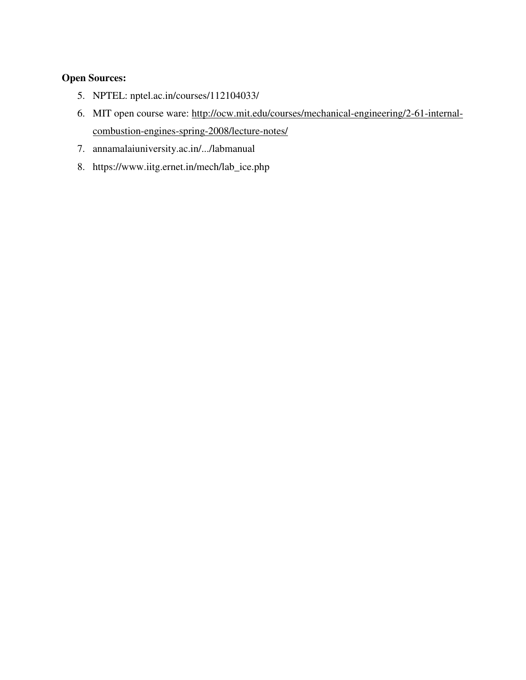#### **Open Sources:**

- 5. NPTEL: nptel.ac.in/courses/112104033/
- 6. MIT open course ware: [http://ocw.mit.edu/courses/mechanical-engineering/2-61-internal](http://ocw.mit.edu/courses/mechanical-engineering/2-61-internal-combustion-engines-spring-2008/lecture-notes/)[combustion-engines-spring-2008/lecture-notes/](http://ocw.mit.edu/courses/mechanical-engineering/2-61-internal-combustion-engines-spring-2008/lecture-notes/)
- 7. annamalaiuniversity.ac.in/.../labmanual
- 8. https://www.iitg.ernet.in/mech/lab\_ice.php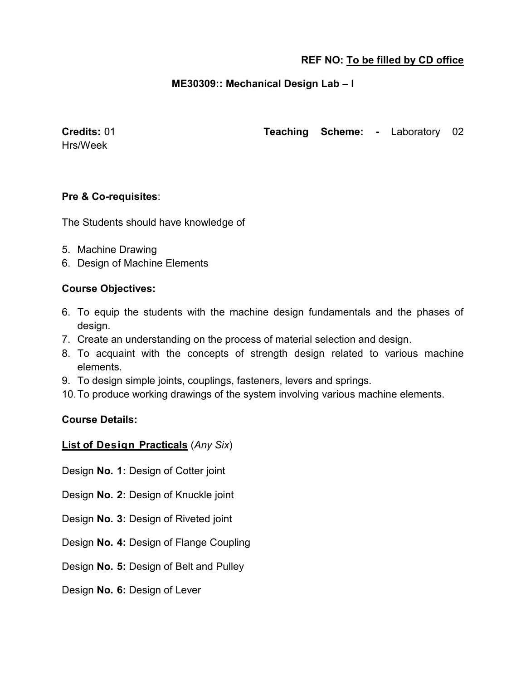#### **ME30309:: Mechanical Design Lab – I**

Hrs/Week

**Credits:** 01 **Teaching Scheme: -** Laboratory 02

#### **Pre & Co-requisites**:

The Students should have knowledge of

- 5. Machine Drawing
- 6. Design of Machine Elements

#### **Course Objectives:**

- 6. To equip the students with the machine design fundamentals and the phases of design.
- 7. Create an understanding on the process of material selection and design.
- 8. To acquaint with the concepts of strength design related to various machine elements.
- 9. To design simple joints, couplings, fasteners, levers and springs.
- 10. To produce working drawings of the system involving various machine elements.

#### **Course Details:**

#### **List of Design Practicals** (*Any Six*)

- Design **No. 1:** Design of Cotter joint
- Design **No. 2:** Design of Knuckle joint
- Design **No. 3:** Design of Riveted joint
- Design **No. 4:** Design of Flange Coupling
- Design **No. 5:** Design of Belt and Pulley
- Design **No. 6:** Design of Lever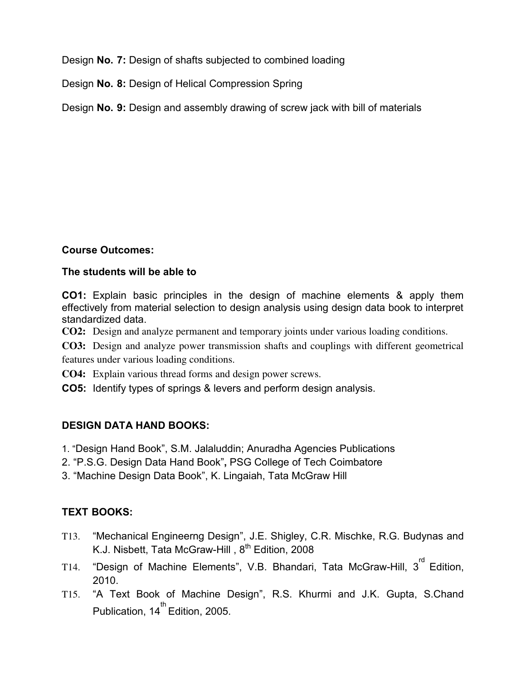Design **No. 7:** Design of shafts subjected to combined loading

Design **No. 8:** Design of Helical Compression Spring

Design **No. 9:** Design and assembly drawing of screw jack with bill of materials

#### **Course Outcomes:**

#### **The students will be able to**

**CO1:** Explain basic principles in the design of machine elements & apply them effectively from material selection to design analysis using design data book to interpret standardized data.

**CO2:** Design and analyze permanent and temporary joints under various loading conditions.

**CO3:** Design and analyze power transmission shafts and couplings with different geometrical features under various loading conditions.

**CO4:** Explain various thread forms and design power screws.

**CO5:** Identify types of springs & levers and perform design analysis.

#### **DESIGN DATA HAND BOOKS:**

- 1. "Design Hand Book", S.M. Jalaluddin; Anuradha Agencies Publications
- 2. "P.S.G. Design Data Hand Book"**,** PSG College of Tech Coimbatore
- 3. "Machine Design Data Book", K. Lingaiah, Tata McGraw Hill

# **TEXT BOOKS:**

- T13. "Mechanical Engineerng Design", J.E. Shigley, C.R. Mischke, R.G. Budynas and K.J. Nisbett, Tata McGraw-Hill, 8<sup>th</sup> Edition, 2008
- T14. "Design of Machine Elements", V.B. Bhandari, Tata McGraw-Hill, 3 $^{\text{rd}}$  Edition, 2010.
- T15. "A Text Book of Machine Design", R.S. Khurmi and J.K. Gupta, S.Chand Publication, 14<sup>th</sup> Edition, 2005.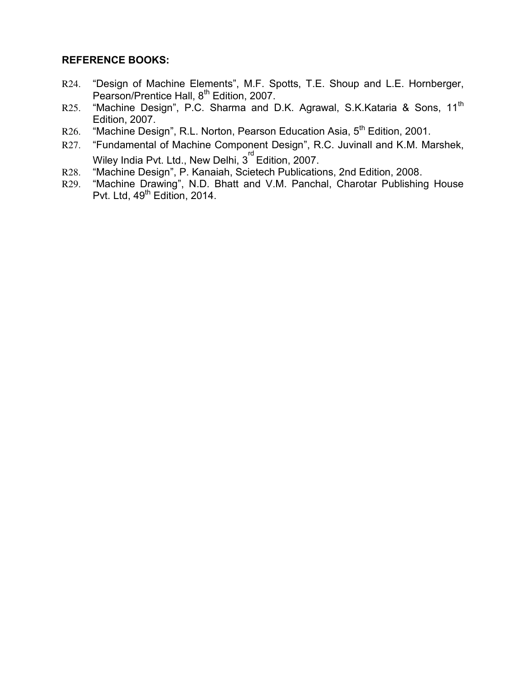#### **REFERENCE BOOKS:**

- R24. "Design of Machine Elements", M.F. Spotts, T.E. Shoup and L.E. Hornberger, Pearson/Prentice Hall, 8<sup>th</sup> Edition, 2007.
- R25. "Machine Design", P.C. Sharma and D.K. Agrawal, S.K.Kataria & Sons, 11<sup>th</sup> Edition, 2007.
- R26. "Machine Design", R.L. Norton, Pearson Education Asia, 5<sup>th</sup> Edition, 2001.
- R27. "Fundamental of Machine Component Design", R.C. Juvinall and K.M. Marshek, Wiley India Pvt. Ltd., New Delhi, 3<sup>rd</sup> Edition, 2007.
- R28. "Machine Design", P. Kanaiah, Scietech Publications, 2nd Edition, 2008.
- R29. "Machine Drawing", N.D. Bhatt and V.M. Panchal, Charotar Publishing House Pvt. Ltd, 49<sup>th</sup> Edition, 2014.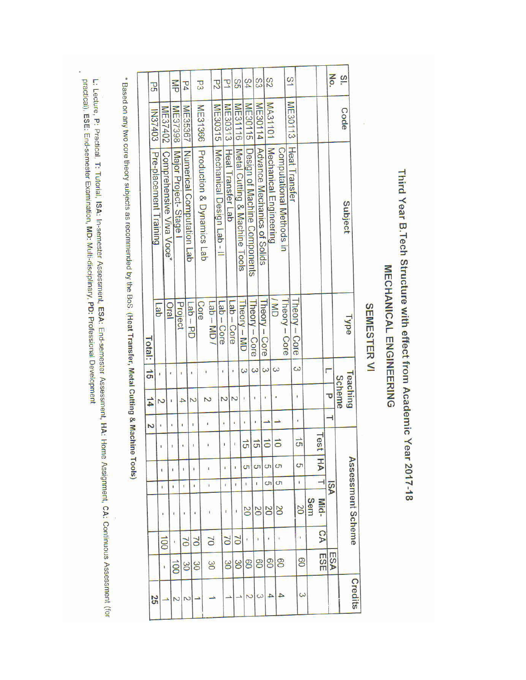Third Year B. Tech Structure with effect from Academic Year 2017-18

# MECHANICAL ENGINEERING

# **SEMESTER VI**

| $\frac{3}{2}$        | Code           | Subject                       | <b>Lype</b>                      |               | <b>Teaching</b><br>Scheme |              |                      |                |              | Assessment Scheme |                |                  | Credits  |
|----------------------|----------------|-------------------------------|----------------------------------|---------------|---------------------------|--------------|----------------------|----------------|--------------|-------------------|----------------|------------------|----------|
| No.                  |                |                               |                                  |               | τ                         |              |                      |                | VSI          |                   |                | <b>ESA</b>       |          |
|                      |                |                               |                                  | г             |                           |              | Test                 | $\overline{P}$ | Ē            | Mid-              | <b>CA</b>      | ESE              |          |
|                      |                |                               |                                  |               |                           |              |                      |                |              | Sem               |                |                  |          |
|                      |                |                               | <b>heory - Core</b>              | $\omega$      | $\pmb{\ast}$              | ٠            | $\frac{1}{5}$        | S              | î            | 20                | ï              | 80               | $\omega$ |
| $\overline{S}$       | ME30113        | Heat Transfer                 |                                  |               |                           |              |                      |                |              |                   |                |                  |          |
|                      |                | Computational Methods in      | UM <sub>/</sub><br>Theory - Core | $\omega$      |                           |              | $\vec{0}$            | S              | CΠ           | SO                |                | 80               |          |
| S2                   | MA31101        | Mechanical Engineering        |                                  | $\omega$      | r                         |              | $\vec{0}$            | CΠ             | CΠ           | $\overline{0}$    | ı              | 80               | 4        |
| S                    | ME30114        | Advance Mechanics of Solids   | Theory - Core                    | $\omega$      | t                         | ł            | $\vec{5}$            | CΠ             | ı            | <b>PS</b>         | ï              | 80               | $\omega$ |
| 54                   | ME30115        | Design of Machine Components  | <b>Iheory - Core</b>             |               |                           | ŧ            | $\overrightarrow{c}$ | ĠТ             | ï            | $\overline{0}$    | r.             | 80               |          |
| SS                   | ME31116        | Metal Cutting & Machine Tools | <b>Iheory - MD</b>               | $\omega$      | N<br>$\mathbf i$          | ï            | $\frac{1}{2}$        |                | ï            | ï                 | $\sum$         | မိ               |          |
| P                    | ME30313        | Heat Transfer Lab             | $\frac{1}{2}$ de $\frac{1}{2}$   |               | Z                         |              |                      | ï              | ï            | ł                 | $\geq$         | 30               |          |
| $\overline{c}$       | ME30315        | Mechanical Design Lab - II    | $\text{Lap} - \text{Core}$       | ı             |                           | ì            |                      |                |              |                   |                |                  |          |
|                      |                | Production & Dynamics Lab     | $T$ ab – MD /                    | 1             |                           |              | ı                    |                | ł            | ĩ                 | $\geq$         | 30               |          |
| P3                   | ME31366        |                               | Core                             |               | Z                         | ī            |                      | ı              | ı            | ¥                 | $\approx$      | $\mathcal{S}$    |          |
| $\overline{r}$       | ME35367        | Numerical Computation Lab     | $Q = PD$                         | J,            | $\rightarrow$             |              | 1                    | í              | $\mathbf{I}$ |                   | $\geq$         | 30               |          |
| $\frac{1}{\sqrt{2}}$ | ME37398        | Major Project-Stage           | Project                          | $\mathbf{I}$  |                           | $\mathbf{I}$ |                      | ı              | ï            | ŧ                 | t,             | $\overline{001}$ | 2        |
|                      | ME37402        | Comprehensive Viva Voce*      | <b>Dral</b>                      | t             | ı                         | t            |                      |                |              | R.                | $\overline{5}$ | ï                |          |
| <b>J</b>             | <b>IN37403</b> | Pre-placement Training        | de                               | ť             | N                         |              |                      | ŧ              | ï            |                   |                |                  | 25       |
|                      |                |                               | Total:                           | $\frac{1}{2}$ | $\frac{1}{4}$             | Z            |                      |                |              |                   |                |                  |          |

\* Based on any two core theory subjects as recommended by the BoS. (Heat Transfer, Metal Cutting & Machine Tools)

L: Lecture, P: Practical, T: Tutorial, ISA: In-semester Assessment, ESA: End-semester Assessment, HA: Home Assignment, CA: Continuous Assessment (for<br>practical), ESE: End-semester Examination, MD: Multi-disciplinary, PD: P

i,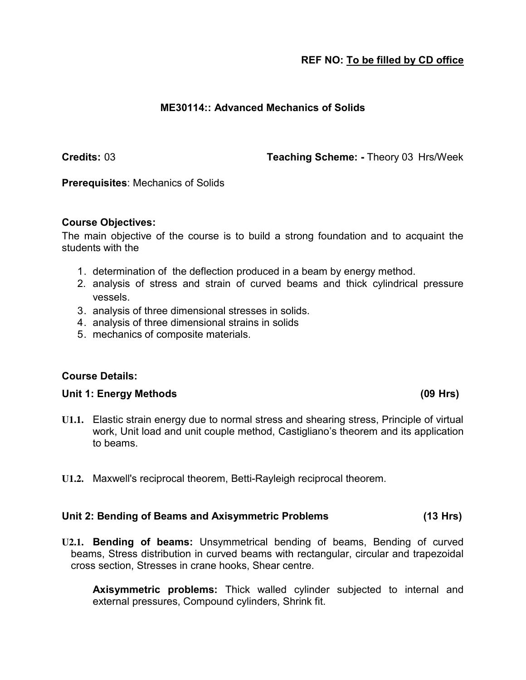#### **ME30114:: Advanced Mechanics of Solids**

**Credits:** 03 **Teaching Scheme: -** Theory 03 Hrs/Week

**Prerequisites**: Mechanics of Solids

#### **Course Objectives:**

The main objective of the course is to build a strong foundation and to acquaint the students with the

- 1. determination of the deflection produced in a beam by energy method.
- 2. analysis of stress and strain of curved beams and thick cylindrical pressure vessels.
- 3. analysis of three dimensional stresses in solids.
- 4. analysis of three dimensional strains in solids
- 5. mechanics of composite materials.

#### **Course Details:**

#### **Unit 1: Energy Methods (09 Hrs)**

- **U1.1.** Elastic strain energy due to normal stress and shearing stress, Principle of virtual work, Unit load and unit couple method, Castigliano's theorem and its application to beams.
- **U1.2.** Maxwell's reciprocal theorem, Betti-Rayleigh reciprocal theorem.

#### **Unit 2: Bending of Beams and Axisymmetric Problems (13 Hrs)**

**U2.1. Bending of beams:** Unsymmetrical bending of beams, Bending of curved beams, Stress distribution in curved beams with rectangular, circular and trapezoidal cross section, Stresses in crane hooks, Shear centre.

**Axisymmetric problems:** Thick walled cylinder subjected to internal and external pressures, Compound cylinders, Shrink fit.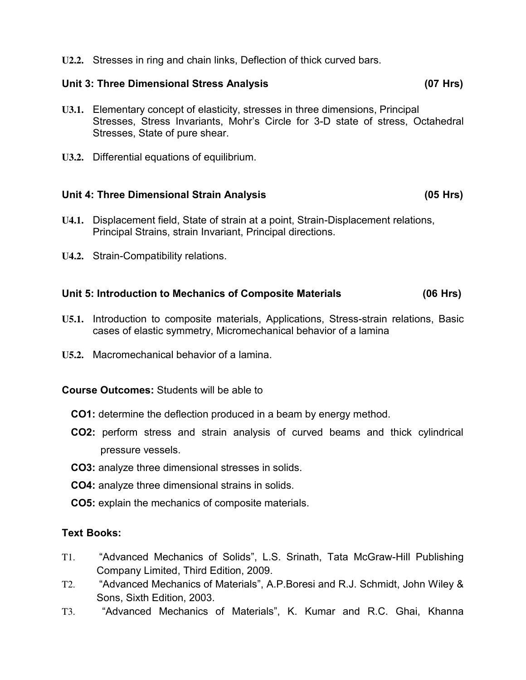**U2.2.** Stresses in ring and chain links, Deflection of thick curved bars.

## **Unit 3: Three Dimensional Stress Analysis (07 Hrs)**

- **U3.1.** Elementary concept of elasticity, stresses in three dimensions, Principal Stresses, Stress Invariants, Mohr's Circle for 3-D state of stress, Octahedral Stresses, State of pure shear.
- **U3.2.** Differential equations of equilibrium.

# **Unit 4: Three Dimensional Strain Analysis (05 Hrs)**

- **U4.1.** Displacement field, State of strain at a point, Strain-Displacement relations, Principal Strains, strain Invariant, Principal directions.
- **U4.2.** Strain-Compatibility relations.

#### **Unit 5: Introduction to Mechanics of Composite Materials (06 Hrs)**

- **U5.1.** Introduction to composite materials, Applications, Stress-strain relations, Basic cases of elastic symmetry, Micromechanical behavior of a lamina
- **U5.2.** Macromechanical behavior of a lamina.

#### **Course Outcomes:** Students will be able to

- **CO1:** determine the deflection produced in a beam by energy method.
- **CO2:** perform stress and strain analysis of curved beams and thick cylindrical pressure vessels.
- **CO3:** analyze three dimensional stresses in solids.
- **CO4:** analyze three dimensional strains in solids.
- **CO5:** explain the mechanics of composite materials.

#### **Text Books:**

- T1. "Advanced Mechanics of Solids", L.S. Srinath, Tata McGraw-Hill Publishing Company Limited, Third Edition, 2009.
- T2. "Advanced Mechanics of Materials", A.P.Boresi and R.J. Schmidt, John Wiley & Sons, Sixth Edition, 2003.
- T3. "Advanced Mechanics of Materials", K. Kumar and R.C. Ghai, Khanna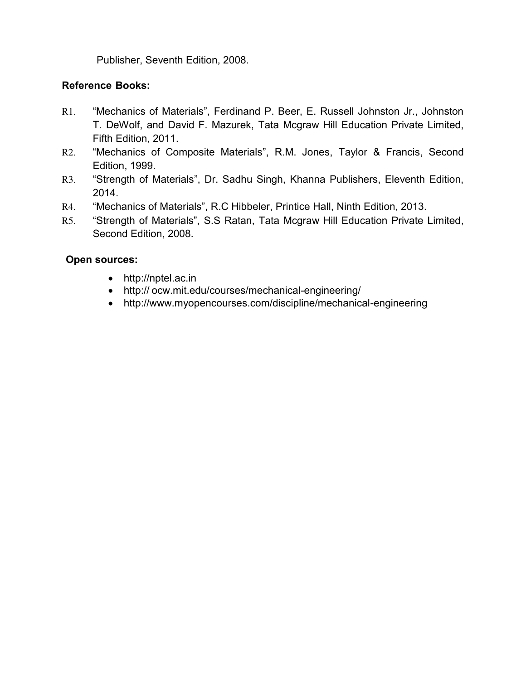Publisher, Seventh Edition, 2008.

#### **Reference Books:**

- R1. "Mechanics of Materials", Ferdinand P. Beer, E. Russell Johnston Jr., Johnston T. DeWolf, and David F. Mazurek, Tata Mcgraw Hill Education Private Limited, Fifth Edition, 2011.
- R2. "Mechanics of Composite Materials", R.M. Jones, Taylor & Francis, Second Edition, 1999.
- R3. "Strength of Materials", Dr. Sadhu Singh, Khanna Publishers, Eleventh Edition, 2014.
- R4. "Mechanics of Materials", R.C Hibbeler, Printice Hall, Ninth Edition, 2013.
- R5. "Strength of Materials", S.S Ratan, Tata Mcgraw Hill Education Private Limited, Second Edition, 2008.

#### **Open sources:**

- http://nptel.ac.in
- http:// ocw.mit.edu/courses/mechanical-engineering/
- http://www.myopencourses.com/discipline/mechanical-engineering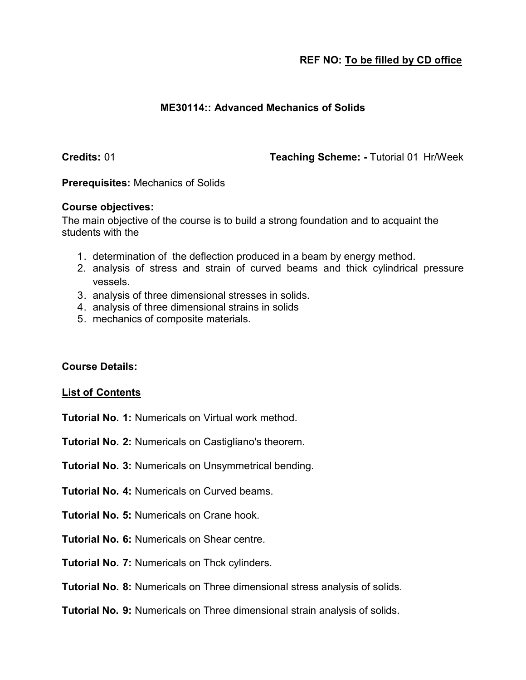#### **ME30114:: Advanced Mechanics of Solids**

**Credits:** 01 **Teaching Scheme: -** Tutorial 01 Hr/Week

**Prerequisites:** Mechanics of Solids

#### **Course objectives:**

The main objective of the course is to build a strong foundation and to acquaint the students with the

- 1. determination of the deflection produced in a beam by energy method.
- 2. analysis of stress and strain of curved beams and thick cylindrical pressure vessels.
- 3. analysis of three dimensional stresses in solids.
- 4. analysis of three dimensional strains in solids
- 5. mechanics of composite materials.

#### **Course Details:**

#### **List of Contents**

**Tutorial No. 1:** Numericals on Virtual work method.

**Tutorial No. 2:** Numericals on Castigliano's theorem.

**Tutorial No. 3:** Numericals on Unsymmetrical bending.

- **Tutorial No. 4:** Numericals on Curved beams.
- **Tutorial No. 5:** Numericals on Crane hook.
- **Tutorial No. 6:** Numericals on Shear centre.
- **Tutorial No. 7:** Numericals on Thck cylinders.
- **Tutorial No. 8:** Numericals on Three dimensional stress analysis of solids.
- **Tutorial No. 9:** Numericals on Three dimensional strain analysis of solids.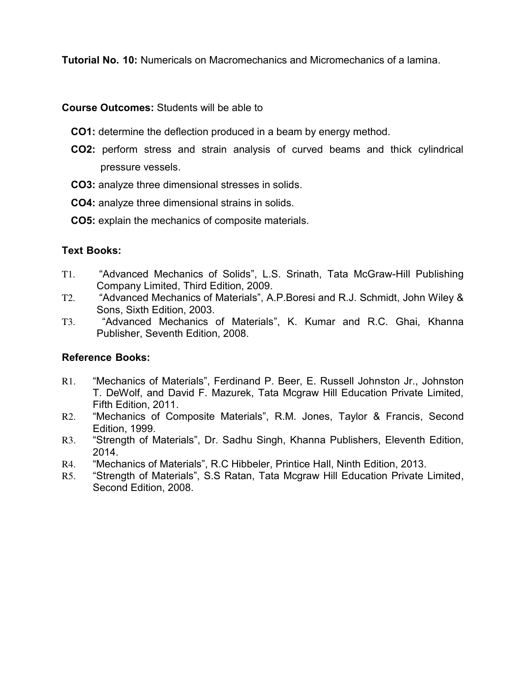**Tutorial No. 10:** Numericals on Macromechanics and Micromechanics of a lamina.

**Course Outcomes:** Students will be able to

- **CO1:** determine the deflection produced in a beam by energy method.
- **CO2:** perform stress and strain analysis of curved beams and thick cylindrical pressure vessels.
- **CO3:** analyze three dimensional stresses in solids.
- **CO4:** analyze three dimensional strains in solids.
- **CO5:** explain the mechanics of composite materials.

#### **Text Books:**

- T1. "Advanced Mechanics of Solids", L.S. Srinath, Tata McGraw-Hill Publishing Company Limited, Third Edition, 2009.
- T2. "Advanced Mechanics of Materials", A.P.Boresi and R.J. Schmidt, John Wiley & Sons, Sixth Edition, 2003.
- T3. "Advanced Mechanics of Materials", K. Kumar and R.C. Ghai, Khanna Publisher, Seventh Edition, 2008.

#### **Reference Books:**

- R1. "Mechanics of Materials", Ferdinand P. Beer, E. Russell Johnston Jr., Johnston T. DeWolf, and David F. Mazurek, Tata Mcgraw Hill Education Private Limited, Fifth Edition, 2011.
- R2. "Mechanics of Composite Materials", R.M. Jones, Taylor & Francis, Second Edition, 1999.
- R3. "Strength of Materials", Dr. Sadhu Singh, Khanna Publishers, Eleventh Edition, 2014.
- R4. "Mechanics of Materials", R.C Hibbeler, Printice Hall, Ninth Edition, 2013.
- R5. "Strength of Materials", S.S Ratan, Tata Mcgraw Hill Education Private Limited, Second Edition, 2008.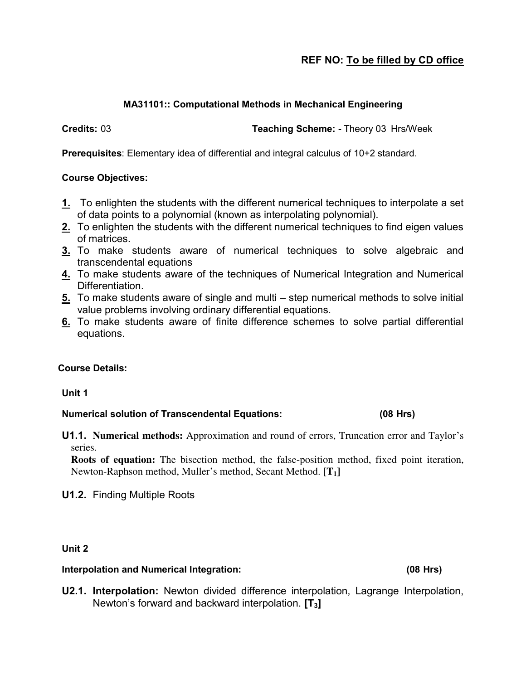#### **MA31101:: Computational Methods in Mechanical Engineering**

**Credits:** 03 **Teaching Scheme: -** Theory 03 Hrs/Week

**Prerequisites**: Elementary idea of differential and integral calculus of 10+2 standard.

#### **Course Objectives:**

- **1.** To enlighten the students with the different numerical techniques to interpolate a set of data points to a polynomial (known as interpolating polynomial).
- **2.** To enlighten the students with the different numerical techniques to find eigen values of matrices.
- **3.** To make students aware of numerical techniques to solve algebraic and transcendental equations
- **4.** To make students aware of the techniques of Numerical Integration and Numerical Differentiation.
- **5.** To make students aware of single and multi step numerical methods to solve initial value problems involving ordinary differential equations.
- **6.** To make students aware of finite difference schemes to solve partial differential equations.

#### **Course Details:**

**Unit 1** 

#### **Numerical solution of Transcendental Equations: (08 Hrs)**

**U1.1. Numerical methods:** Approximation and round of errors, Truncation error and Taylor's series.

**Roots of equation:** The bisection method, the false-position method, fixed point iteration, Newton-Raphson method, Muller's method, Secant Method. **[T1]**

**U1.2.** Finding Multiple Roots

**Unit 2**

#### **Interpolation and Numerical Integration: (08 Hrs)**

**U2.1. Interpolation:** Newton divided difference interpolation, Lagrange Interpolation, Newton's forward and backward interpolation. **[T3]**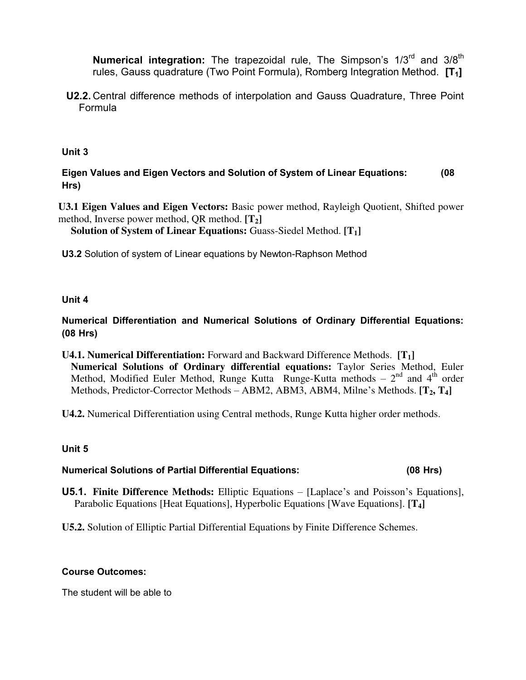**Numerical integration:** The trapezoidal rule, The Simpson's 1/3<sup>rd</sup> and 3/8<sup>th</sup> rules, Gauss quadrature (Two Point Formula), Romberg Integration Method. **[T1]**

**U2.2.** Central difference methods of interpolation and Gauss Quadrature, Three Point Formula

**Unit 3** 

**Eigen Values and Eigen Vectors and Solution of System of Linear Equations: (08 Hrs)** 

**U3.1 Eigen Values and Eigen Vectors:** Basic power method, Rayleigh Quotient, Shifted power method, Inverse power method, QR method. **[T2]**

**Solution of System of Linear Equations:** Guass-Siedel Method. **[T1]**

**U3.2** Solution of system of Linear equations by Newton-Raphson Method

**Unit 4** 

**Numerical Differentiation and Numerical Solutions of Ordinary Differential Equations: (08 Hrs)** 

**U4.1. Numerical Differentiation:** Forward and Backward Difference Methods. **[T1] Numerical Solutions of Ordinary differential equations:** Taylor Series Method, Euler Method, Modified Euler Method, Runge Kutta Runge-Kutta methods –  $2<sup>nd</sup>$  and  $4<sup>th</sup>$  order Methods, Predictor-Corrector Methods – ABM2, ABM3, ABM4, Milne's Methods. **[T2, T4]** 

**U4.2.** Numerical Differentiation using Central methods, Runge Kutta higher order methods.

#### **Unit 5**

**Numerical Solutions of Partial Differential Equations: (08 Hrs)**

**U5.1. Finite Difference Methods:** Elliptic Equations – [Laplace's and Poisson's Equations], Parabolic Equations [Heat Equations], Hyperbolic Equations [Wave Equations]. **[T4]**

**U5.2.** Solution of Elliptic Partial Differential Equations by Finite Difference Schemes.

#### **Course Outcomes:**

The student will be able to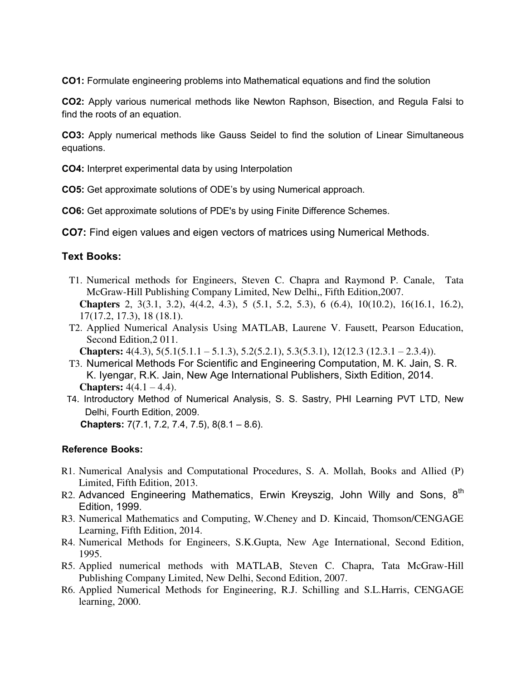**CO1:** Formulate engineering problems into Mathematical equations and find the solution

**CO2:** Apply various numerical methods like Newton Raphson, Bisection, and Regula Falsi to find the roots of an equation.

**CO3:** Apply numerical methods like Gauss Seidel to find the solution of Linear Simultaneous equations.

**CO4:** Interpret experimental data by using Interpolation

**CO5:** Get approximate solutions of ODE's by using Numerical approach.

**CO6:** Get approximate solutions of PDE's by using Finite Difference Schemes.

**CO7:** Find eigen values and eigen vectors of matrices using Numerical Methods.

#### **Text Books:**

- T1. Numerical methods for Engineers, Steven C. Chapra and Raymond P. Canale, Tata McGraw-Hill Publishing Company Limited, New Delhi,, Fifth Edition,2007. **Chapters** 2, 3(3.1, 3.2), 4(4.2, 4.3), 5 (5.1, 5.2, 5.3), 6 (6.4), 10(10.2), 16(16.1, 16.2), 17(17.2, 17.3), 18 (18.1).
- T2. Applied Numerical Analysis Using MATLAB, Laurene V. Fausett, Pearson Education, Second Edition,2 011.

**Chapters:** 4(4.3), 5(5.1(5.1.1 – 5.1.3), 5.2(5.2.1), 5.3(5.3.1), 12(12.3 (12.3.1 – 2.3.4)).

- T3. Numerical Methods For Scientific and Engineering Computation, M. K. Jain, S. R. K. Iyengar, R.K. Jain, New Age International Publishers, Sixth Edition, 2014. **Chapters:**  $4(4.1 - 4.4)$ .
- T4. Introductory Method of Numerical Analysis, S. S. Sastry, PHI Learning PVT LTD, New Delhi, Fourth Edition, 2009. **Chapters:** 7(7.1, 7.2, 7.4, 7.5), 8(8.1 – 8.6).

#### **Reference Books:**

- R1. Numerical Analysis and Computational Procedures, S. A. Mollah, Books and Allied (P) Limited, Fifth Edition, 2013.
- R2. Advanced Engineering Mathematics, Erwin Kreyszig, John Willy and Sons,  $8<sup>th</sup>$ Edition, 1999.
- R3. Numerical Mathematics and Computing, W.Cheney and D. Kincaid, Thomson/CENGAGE Learning, Fifth Edition, 2014.
- R4. Numerical Methods for Engineers, S.K.Gupta, New Age International, Second Edition, 1995.
- R5. Applied numerical methods with MATLAB, Steven C. Chapra, Tata McGraw-Hill Publishing Company Limited, New Delhi, Second Edition, 2007.
- R6. Applied Numerical Methods for Engineering, R.J. Schilling and S.L.Harris, CENGAGE learning, 2000.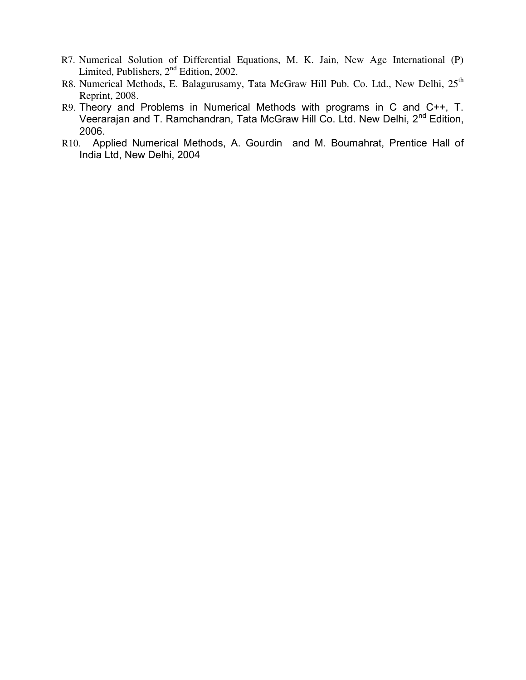- R7. Numerical Solution of Differential Equations, M. K. Jain, New Age International (P) Limited, Publishers,  $2<sup>nd</sup>$  Edition, 2002.
- R8. Numerical Methods, E. Balagurusamy, Tata McGraw Hill Pub. Co. Ltd., New Delhi, 25<sup>th</sup> Reprint, 2008.
- R9. Theory and Problems in Numerical Methods with programs in C and C++, T. Veerarajan and T. Ramchandran, Tata McGraw Hill Co. Ltd. New Delhi, 2nd Edition, 2006.
- R10. Applied Numerical Methods, A. Gourdin and M. Boumahrat, Prentice Hall of India Ltd, New Delhi, 2004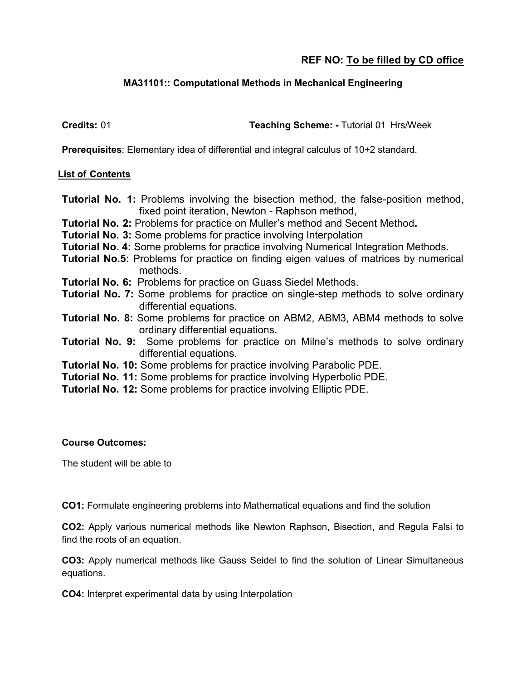#### **MA31101:: Computational Methods in Mechanical Engineering**

**Credits:** 01 **Teaching Scheme: -** Tutorial 01 Hrs/Week

**Prerequisites**: Elementary idea of differential and integral calculus of 10+2 standard.

#### **List of Contents**

- **Tutorial No. 1:** Problems involving the bisection method, the false-position method, fixed point iteration, Newton - Raphson method,
- **Tutorial No. 2:** Problems for practice on Muller's method and Secent Method**.**
- **Tutorial No. 3:** Some problems for practice involving Interpolation
- **Tutorial No. 4:** Some problems for practice involving Numerical Integration Methods.
- **Tutorial No.5:** Problems for practice on finding eigen values of matrices by numerical methods.
- **Tutorial No. 6:** Problems for practice on Guass Siedel Methods.
- **Tutorial No. 7:** Some problems for practice on single-step methods to solve ordinary differential equations.
- **Tutorial No. 8:** Some problems for practice on ABM2, ABM3, ABM4 methods to solve ordinary differential equations.
- **Tutorial No. 9:** Some problems for practice on Milne's methods to solve ordinary differential equations.
- **Tutorial No. 10:** Some problems for practice involving Parabolic PDE.
- **Tutorial No. 11:** Some problems for practice involving Hyperbolic PDE.
- **Tutorial No. 12:** Some problems for practice involving Elliptic PDE.

#### **Course Outcomes:**

The student will be able to

**CO1:** Formulate engineering problems into Mathematical equations and find the solution

**CO2:** Apply various numerical methods like Newton Raphson, Bisection, and Regula Falsi to find the roots of an equation.

**CO3:** Apply numerical methods like Gauss Seidel to find the solution of Linear Simultaneous equations.

**CO4:** Interpret experimental data by using Interpolation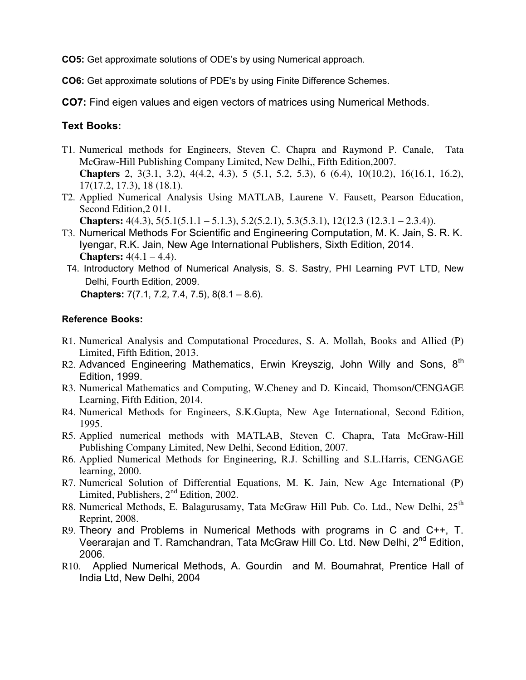**CO5:** Get approximate solutions of ODE's by using Numerical approach.

**CO6:** Get approximate solutions of PDE's by using Finite Difference Schemes.

**CO7:** Find eigen values and eigen vectors of matrices using Numerical Methods.

#### **Text Books:**

- T1. Numerical methods for Engineers, Steven C. Chapra and Raymond P. Canale, Tata McGraw-Hill Publishing Company Limited, New Delhi,, Fifth Edition,2007. **Chapters** 2, 3(3.1, 3.2), 4(4.2, 4.3), 5 (5.1, 5.2, 5.3), 6 (6.4), 10(10.2), 16(16.1, 16.2), 17(17.2, 17.3), 18 (18.1).
- T2. Applied Numerical Analysis Using MATLAB, Laurene V. Fausett, Pearson Education, Second Edition,2 011. **Chapters:** 4(4.3), 5(5.1(5.1.1 – 5.1.3), 5.2(5.2.1), 5.3(5.3.1), 12(12.3 (12.3.1 – 2.3.4)).
- T3. Numerical Methods For Scientific and Engineering Computation, M. K. Jain, S. R. K. Iyengar, R.K. Jain, New Age International Publishers, Sixth Edition, 2014. **Chapters:**  $4(4.1 - 4.4)$ .
- T4. Introductory Method of Numerical Analysis, S. S. Sastry, PHI Learning PVT LTD, New Delhi, Fourth Edition, 2009. **Chapters:** 7(7.1, 7.2, 7.4, 7.5), 8(8.1 – 8.6).

#### **Reference Books:**

- R1. Numerical Analysis and Computational Procedures, S. A. Mollah, Books and Allied (P) Limited, Fifth Edition, 2013.
- R2. Advanced Engineering Mathematics, Erwin Kreyszig, John Willy and Sons, 8<sup>th</sup> Edition, 1999.
- R3. Numerical Mathematics and Computing, W.Cheney and D. Kincaid, Thomson/CENGAGE Learning, Fifth Edition, 2014.
- R4. Numerical Methods for Engineers, S.K.Gupta, New Age International, Second Edition, 1995.
- R5. Applied numerical methods with MATLAB, Steven C. Chapra, Tata McGraw-Hill Publishing Company Limited, New Delhi, Second Edition, 2007.
- R6. Applied Numerical Methods for Engineering, R.J. Schilling and S.L.Harris, CENGAGE learning, 2000.
- R7. Numerical Solution of Differential Equations, M. K. Jain, New Age International (P) Limited, Publishers, 2<sup>nd</sup> Edition, 2002.
- R8. Numerical Methods, E. Balagurusamy, Tata McGraw Hill Pub. Co. Ltd., New Delhi, 25<sup>th</sup> Reprint, 2008.
- R9. Theory and Problems in Numerical Methods with programs in C and C++, T. Veerarajan and T. Ramchandran, Tata McGraw Hill Co. Ltd. New Delhi, 2<sup>nd</sup> Edition, 2006.
- R10. Applied Numerical Methods, A. Gourdin and M. Boumahrat, Prentice Hall of India Ltd, New Delhi, 2004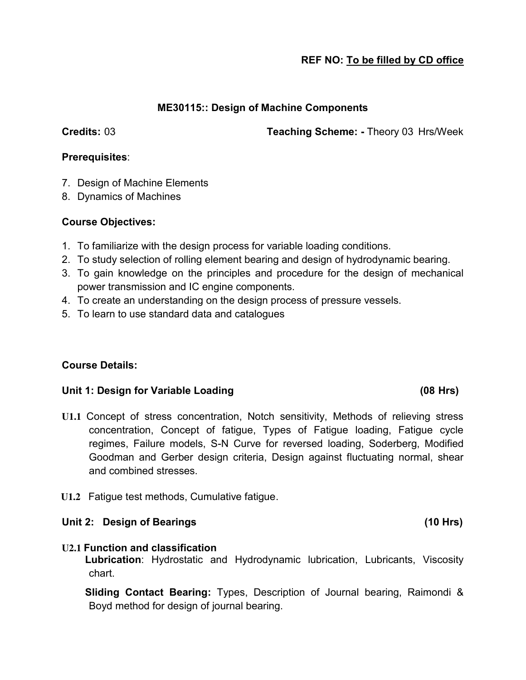#### **ME30115:: Design of Machine Components**

**Credits:** 03 **Teaching Scheme: -** Theory 03 Hrs/Week

#### **Prerequisites**:

- 7. Design of Machine Elements
- 8. Dynamics of Machines

#### **Course Objectives:**

- 1. To familiarize with the design process for variable loading conditions.
- 2. To study selection of rolling element bearing and design of hydrodynamic bearing.
- 3. To gain knowledge on the principles and procedure for the design of mechanical power transmission and IC engine components.
- 4. To create an understanding on the design process of pressure vessels.
- 5. To learn to use standard data and catalogues

# **Course Details:**

#### **Unit 1: Design for Variable Loading (08 Hrs)**

- **U1.1** Concept of stress concentration, Notch sensitivity, Methods of relieving stress concentration, Concept of fatigue, Types of Fatigue loading, Fatigue cycle regimes, Failure models, S-N Curve for reversed loading, Soderberg, Modified Goodman and Gerber design criteria, Design against fluctuating normal, shear and combined stresses.
- **U1.2** Fatigue test methods, Cumulative fatigue.

#### Unit 2: Design of Bearings **(10 Hrs)** (10 Hrs)

#### **U2.1 Function and classification**

**Lubrication**: Hydrostatic and Hydrodynamic lubrication, Lubricants, Viscosity chart.

**Sliding Contact Bearing:** Types, Description of Journal bearing, Raimondi & Boyd method for design of journal bearing.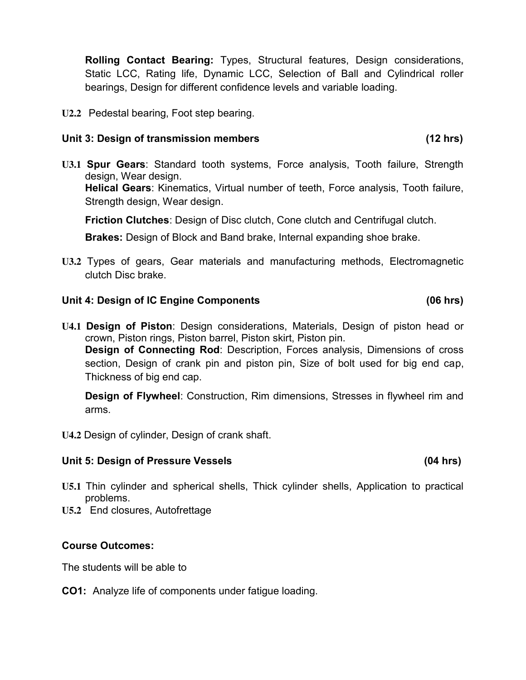**Rolling Contact Bearing:** Types, Structural features, Design considerations, Static LCC, Rating life, Dynamic LCC, Selection of Ball and Cylindrical roller bearings, Design for different confidence levels and variable loading.

**U2.2** Pedestal bearing, Foot step bearing.

#### **Unit 3: Design of transmission members (12 hrs)**

**U3.1 Spur Gears**: Standard tooth systems, Force analysis, Tooth failure, Strength design, Wear design. **Helical Gears**: Kinematics, Virtual number of teeth, Force analysis, Tooth failure, Strength design, Wear design.

**Friction Clutches**: Design of Disc clutch, Cone clutch and Centrifugal clutch.

**Brakes:** Design of Block and Band brake, Internal expanding shoe brake.

**U3.2** Types of gears, Gear materials and manufacturing methods, Electromagnetic clutch Disc brake.

#### **Unit 4: Design of IC Engine Components (06 hrs)**

**U4.1 Design of Piston**: Design considerations, Materials, Design of piston head or crown, Piston rings, Piston barrel, Piston skirt, Piston pin. **Design of Connecting Rod**: Description, Forces analysis, Dimensions of cross section, Design of crank pin and piston pin, Size of bolt used for big end cap, Thickness of big end cap.

**Design of Flywheel**: Construction, Rim dimensions, Stresses in flywheel rim and arms.

**U4.2** Design of cylinder, Design of crank shaft.

#### Unit 5: Design of Pressure Vessels **(04 hrs)** (04 hrs)

- **U5.1** Thin cylinder and spherical shells, Thick cylinder shells, Application to practical problems.
- **U5.2** End closures, Autofrettage

#### **Course Outcomes:**

The students will be able to

#### **CO1:** Analyze life of components under fatigue loading.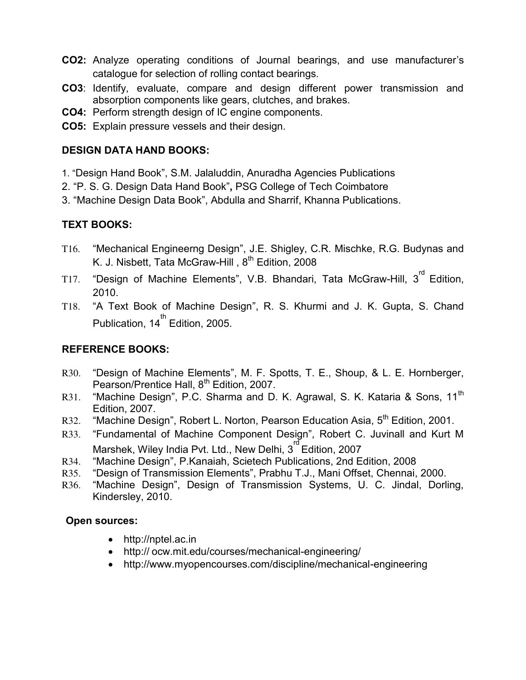- **CO2:** Analyze operating conditions of Journal bearings, and use manufacturer's catalogue for selection of rolling contact bearings.
- **CO3**: Identify, evaluate, compare and design different power transmission and absorption components like gears, clutches, and brakes.
- **CO4:** Perform strength design of IC engine components.
- **CO5:** Explain pressure vessels and their design.

#### **DESIGN DATA HAND BOOKS:**

- 1. "Design Hand Book", S.M. Jalaluddin, Anuradha Agencies Publications
- 2. "P. S. G. Design Data Hand Book"**,** PSG College of Tech Coimbatore
- 3. "Machine Design Data Book", Abdulla and Sharrif, Khanna Publications.

# **TEXT BOOKS:**

- T16. "Mechanical Engineerng Design", J.E. Shigley, C.R. Mischke, R.G. Budynas and K. J. Nisbett, Tata McGraw-Hill, 8<sup>th</sup> Edition, 2008
- T17. "Design of Machine Elements", V.B. Bhandari, Tata McGraw-Hill, 3 $^{\text{rd}}$  Edition, 2010.
- T18. "A Text Book of Machine Design", R. S. Khurmi and J. K. Gupta, S. Chand Publication, 14 $^{\text{th}}$  Edition, 2005.

# **REFERENCE BOOKS:**

- R30. "Design of Machine Elements", M. F. Spotts, T. E., Shoup, & L. E. Hornberger, Pearson/Prentice Hall, 8<sup>th</sup> Edition, 2007.
- R31. "Machine Design", P.C. Sharma and D. K. Agrawal, S. K. Kataria & Sons, 11<sup>th</sup> Edition, 2007.
- R32. "Machine Design", Robert L. Norton, Pearson Education Asia, 5<sup>th</sup> Edition, 2001.
- R33. "Fundamental of Machine Component Design", Robert C. Juvinall and Kurt M Marshek, Wiley India Pvt. Ltd., New Delhi, 3<sup>rd</sup> Edition, 2007
- R34. "Machine Design", P.Kanaiah, Scietech Publications, 2nd Edition, 2008
- R35. "Design of Transmission Elements", Prabhu T.J., Mani Offset, Chennai, 2000.
- R36. "Machine Design", Design of Transmission Systems, U. C. Jindal, Dorling, Kindersley, 2010.

# **Open sources:**

- http://nptel.ac.in
- http:// ocw.mit.edu/courses/mechanical-engineering/
- http://www.myopencourses.com/discipline/mechanical-engineering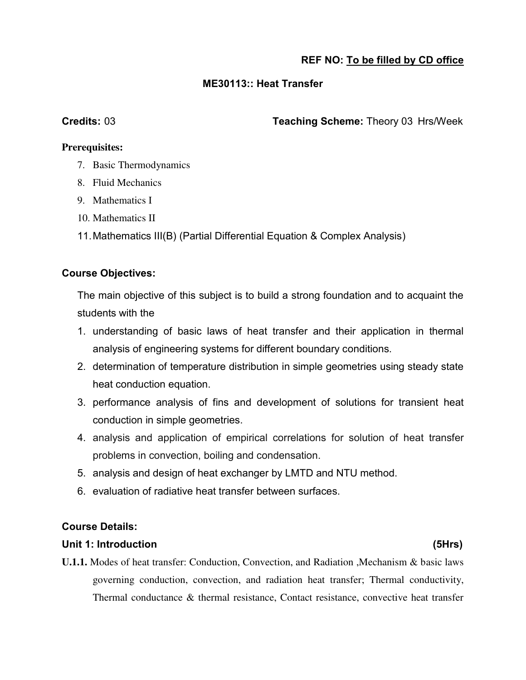#### **ME30113:: Heat Transfer**

**Credits:** 03 **Teaching Scheme:** Theory 03 Hrs/Week

#### **Prerequisites:**

- 7. Basic Thermodynamics
- 8. Fluid Mechanics
- 9. Mathematics I
- 10. Mathematics II
- 11. Mathematics III(B) (Partial Differential Equation & Complex Analysis)

#### **Course Objectives:**

The main objective of this subject is to build a strong foundation and to acquaint the students with the

- 1. understanding of basic laws of heat transfer and their application in thermal analysis of engineering systems for different boundary conditions.
- 2. determination of temperature distribution in simple geometries using steady state heat conduction equation.
- 3. performance analysis of fins and development of solutions for transient heat conduction in simple geometries.
- 4. analysis and application of empirical correlations for solution of heat transfer problems in convection, boiling and condensation.
- 5. analysis and design of heat exchanger by LMTD and NTU method.
- 6. evaluation of radiative heat transfer between surfaces.

#### **Course Details:**

#### **Unit 1: Introduction (5Hrs)**

**U.1.1.** Modes of heat transfer: Conduction, Convection, and Radiation ,Mechanism & basic laws governing conduction, convection, and radiation heat transfer; Thermal conductivity, Thermal conductance & thermal resistance, Contact resistance, convective heat transfer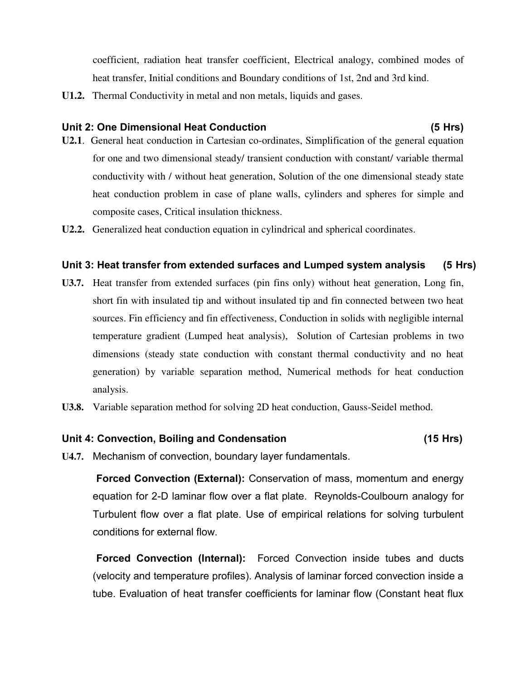coefficient, radiation heat transfer coefficient, Electrical analogy, combined modes of heat transfer, Initial conditions and Boundary conditions of 1st, 2nd and 3rd kind.

**U1.2.** Thermal Conductivity in metal and non metals, liquids and gases.

#### **Unit 2: One Dimensional Heat Conduction (5 Hrs)**

- **U2.1**. General heat conduction in Cartesian co-ordinates, Simplification of the general equation for one and two dimensional steady/ transient conduction with constant/ variable thermal conductivity with / without heat generation, Solution of the one dimensional steady state heat conduction problem in case of plane walls, cylinders and spheres for simple and composite cases, Critical insulation thickness.
- **U2.2.** Generalized heat conduction equation in cylindrical and spherical coordinates.

#### **Unit 3: Heat transfer from extended surfaces and Lumped system analysis (5 Hrs)**

- **U3.7.** Heat transfer from extended surfaces (pin fins only) without heat generation, Long fin, short fin with insulated tip and without insulated tip and fin connected between two heat sources. Fin efficiency and fin effectiveness, Conduction in solids with negligible internal temperature gradient (Lumped heat analysis), Solution of Cartesian problems in two dimensions (steady state conduction with constant thermal conductivity and no heat generation) by variable separation method, Numerical methods for heat conduction analysis.
- **U3.8.** Variable separation method for solving 2D heat conduction, Gauss-Seidel method.

#### **Unit 4: Convection, Boiling and Condensation (15 Hrs)**

**U4.7.** Mechanism of convection, boundary layer fundamentals.

 **Forced Convection (External):** Conservation of mass, momentum and energy equation for 2-D laminar flow over a flat plate. Reynolds-Coulbourn analogy for Turbulent flow over a flat plate. Use of empirical relations for solving turbulent conditions for external flow.

 **Forced Convection (Internal):** Forced Convection inside tubes and ducts (velocity and temperature profiles). Analysis of laminar forced convection inside a tube. Evaluation of heat transfer coefficients for laminar flow (Constant heat flux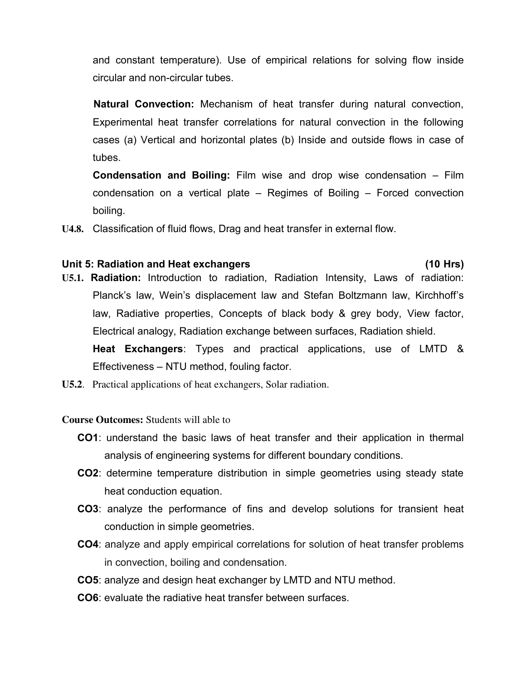and constant temperature). Use of empirical relations for solving flow inside circular and non-circular tubes.

 **Natural Convection:** Mechanism of heat transfer during natural convection, Experimental heat transfer correlations for natural convection in the following cases (a) Vertical and horizontal plates (b) Inside and outside flows in case of tubes.

**Condensation and Boiling:** Film wise and drop wise condensation – Film condensation on a vertical plate – Regimes of Boiling – Forced convection boiling.

**U4.8.** Classification of fluid flows, Drag and heat transfer in external flow.

#### **Unit 5: Radiation and Heat exchangers (10 Hrs)**

- **U5.1. Radiation:** Introduction to radiation, Radiation Intensity, Laws of radiation: Planck's law, Wein's displacement law and Stefan Boltzmann law, Kirchhoff's law, Radiative properties, Concepts of black body & grey body, View factor, Electrical analogy, Radiation exchange between surfaces, Radiation shield. **Heat Exchangers**: Types and practical applications, use of LMTD & Effectiveness – NTU method, fouling factor.
- **U5.2**. Practical applications of heat exchangers, Solar radiation.

**Course Outcomes:** Students will able to

- **CO1**: understand the basic laws of heat transfer and their application in thermal analysis of engineering systems for different boundary conditions.
- **CO2**: determine temperature distribution in simple geometries using steady state heat conduction equation.
- **CO3**: analyze the performance of fins and develop solutions for transient heat conduction in simple geometries.
- **CO4**: analyze and apply empirical correlations for solution of heat transfer problems in convection, boiling and condensation.
- **CO5**: analyze and design heat exchanger by LMTD and NTU method.
- **CO6**: evaluate the radiative heat transfer between surfaces.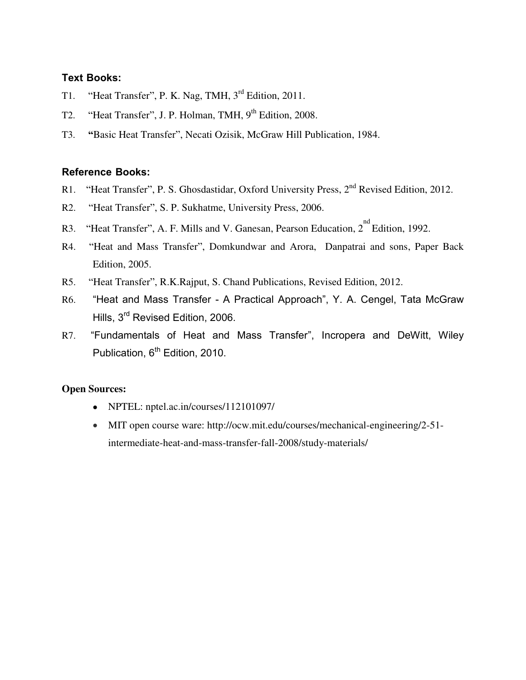#### **Text Books:**

- T1. "Heat Transfer", P. K. Nag, TMH, 3<sup>rd</sup> Edition, 2011.
- T2. "Heat Transfer", J. P. Holman, TMH, 9<sup>th</sup> Edition, 2008.
- T3. **"**Basic Heat Transfer", Necati Ozisik, McGraw Hill Publication, 1984.

#### **Reference Books:**

- R1. "Heat Transfer", P. S. Ghosdastidar, Oxford University Press, 2<sup>nd</sup> Revised Edition, 2012.
- R2. "Heat Transfer", S. P. Sukhatme, University Press, 2006.
- R3. "Heat Transfer", A. F. Mills and V. Ganesan, Pearson Education,  $2^{nd}$  Edition, 1992.
- R4. "Heat and Mass Transfer", Domkundwar and Arora, Danpatrai and sons, Paper Back Edition, 2005.
- R5. "Heat Transfer", R.K.Rajput, S. Chand Publications, Revised Edition, 2012.
- R6. "Heat and Mass Transfer A Practical Approach", Y. A. Cengel, Tata McGraw Hills, 3rd Revised Edition, 2006.
- R7. "Fundamentals of Heat and Mass Transfer", Incropera and DeWitt, Wiley Publication, 6<sup>th</sup> Edition, 2010.

#### **Open Sources:**

- NPTEL: nptel.ac.in/courses/112101097/
- MIT open course ware: http://ocw.mit.edu/courses/mechanical-engineering/2-51 intermediate-heat-and-mass-transfer-fall-2008/study-materials/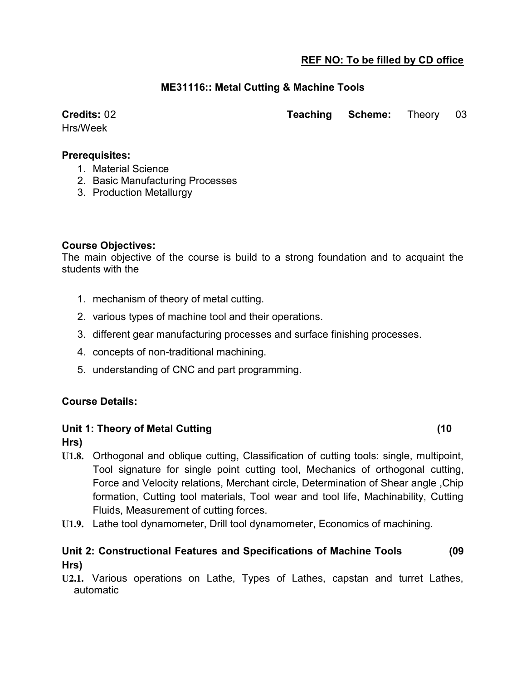#### **ME31116:: Metal Cutting & Machine Tools**

Hrs/Week

**Credits:** 02 **Teaching Scheme:** Theory 03

#### **Prerequisites:**

- 1. Material Science
- 2. Basic Manufacturing Processes
- 3. Production Metallurgy

#### **Course Objectives:**

The main objective of the course is build to a strong foundation and to acquaint the students with the

- 1. mechanism of theory of metal cutting.
- 2. various types of machine tool and their operations.
- 3. different gear manufacturing processes and surface finishing processes.
- 4. concepts of non-traditional machining.
- 5. understanding of CNC and part programming.

#### **Course Details:**

#### **Unit 1: Theory of Metal Cutting (10**

**Hrs)**

- **U1.8.** Orthogonal and oblique cutting, Classification of cutting tools: single, multipoint, Tool signature for single point cutting tool, Mechanics of orthogonal cutting, Force and Velocity relations, Merchant circle, Determination of Shear angle ,Chip formation, Cutting tool materials, Tool wear and tool life, Machinability, Cutting Fluids, Measurement of cutting forces.
- **U1.9.** Lathe tool dynamometer, Drill tool dynamometer, Economics of machining.

#### **Unit 2: Constructional Features and Specifications of Machine Tools (09 Hrs)**

**U2.1.** Various operations on Lathe, Types of Lathes, capstan and turret Lathes, automatic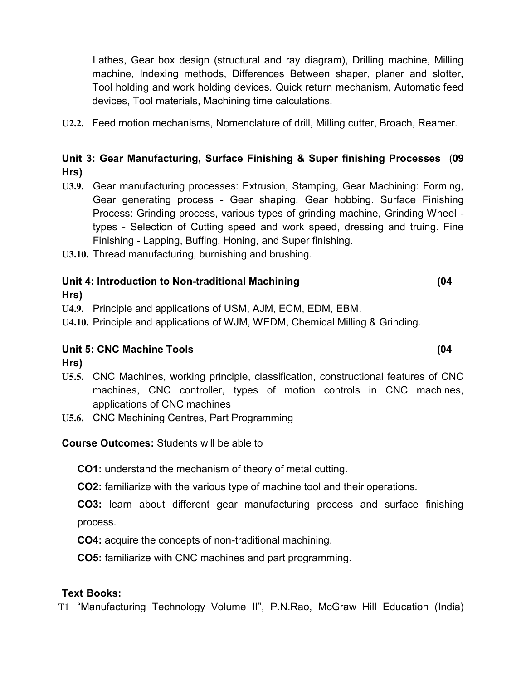Lathes, Gear box design (structural and ray diagram), Drilling machine, Milling machine, Indexing methods, Differences Between shaper, planer and slotter, Tool holding and work holding devices. Quick return mechanism, Automatic feed devices, Tool materials, Machining time calculations.

**U2.2.** Feed motion mechanisms, Nomenclature of drill, Milling cutter, Broach, Reamer.

# **Unit 3: Gear Manufacturing, Surface Finishing & Super finishing Processes** (**09 Hrs)**

**U3.9.** Gear manufacturing processes: Extrusion, Stamping, Gear Machining: Forming, Gear generating process - Gear shaping, Gear hobbing. Surface Finishing Process: Grinding process, various types of grinding machine, Grinding Wheel types - Selection of Cutting speed and work speed, dressing and truing. Fine Finishing - Lapping, Buffing, Honing, and Super finishing.

**U3.10.** Thread manufacturing, burnishing and brushing.

# **Unit 4: Introduction to Non-traditional Machining (04**

**Hrs)**

**U4.9.** Principle and applications of USM, AJM, ECM, EDM, EBM.

**U4.10.** Principle and applications of WJM, WEDM, Chemical Milling & Grinding.

#### **Unit 5: CNC Machine Tools (04**

**Hrs)**

- **U5.5.** CNC Machines, working principle, classification, constructional features of CNC machines, CNC controller, types of motion controls in CNC machines, applications of CNC machines
- **U5.6.** CNC Machining Centres, Part Programming

**Course Outcomes:** Students will be able to

**CO1:** understand the mechanism of theory of metal cutting.

**CO2:** familiarize with the various type of machine tool and their operations.

**CO3:** learn about different gear manufacturing process and surface finishing process.

**CO4:** acquire the concepts of non-traditional machining.

**CO5:** familiarize with CNC machines and part programming.

#### **Text Books:**

T1 "Manufacturing Technology Volume II", P.N.Rao, McGraw Hill Education (India)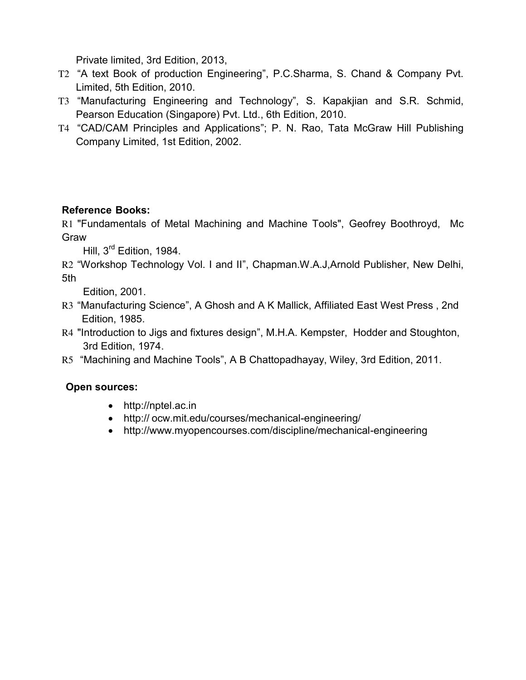Private limited, 3rd Edition, 2013,

- T2 "A text Book of production Engineering", P.C.Sharma, S. Chand & Company Pvt. Limited, 5th Edition, 2010.
- T3 "Manufacturing Engineering and Technology", S. Kapakjian and S.R. Schmid, Pearson Education (Singapore) Pvt. Ltd., 6th Edition, 2010.
- T4 "CAD/CAM Principles and Applications"; P. N. Rao, Tata McGraw Hill Publishing Company Limited, 1st Edition, 2002.

# **Reference Books:**

R1 "Fundamentals of Metal Machining and Machine Tools", Geofrey Boothroyd, Mc Graw

Hill, 3<sup>rd</sup> Edition, 1984.

R2 "Workshop Technology Vol. I and II", Chapman.W.A.J,Arnold Publisher, New Delhi, 5th

Edition, 2001.

- R3 "Manufacturing Science", A Ghosh and A K Mallick, Affiliated East West Press , 2nd Edition, 1985.
- R4 "Introduction to Jigs and fixtures design", M.H.A. Kempster, Hodder and Stoughton, 3rd Edition, 1974.
- R5 "Machining and Machine Tools", A B Chattopadhayay, Wiley, 3rd Edition, 2011.

# **Open sources:**

- http://nptel.ac.in
- http:// ocw.mit.edu/courses/mechanical-engineering/
- http://www.myopencourses.com/discipline/mechanical-engineering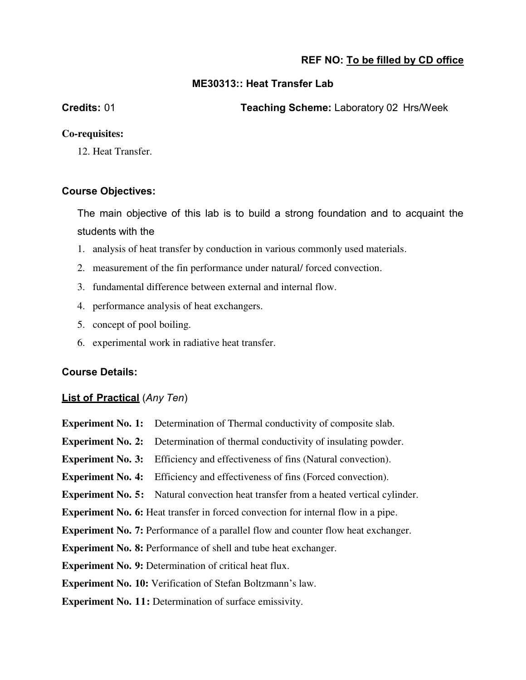#### **ME30313:: Heat Transfer Lab**

**Credits:** 01 **Teaching Scheme:** Laboratory 02 Hrs/Week

#### **Co-requisites:**

12. Heat Transfer.

#### **Course Objectives:**

The main objective of this lab is to build a strong foundation and to acquaint the students with the

- 1. analysis of heat transfer by conduction in various commonly used materials.
- 2. measurement of the fin performance under natural/ forced convection.
- 3. fundamental difference between external and internal flow.
- 4. performance analysis of heat exchangers.
- 5. concept of pool boiling.
- 6. experimental work in radiative heat transfer.

#### **Course Details:**

# **List of Practical** (*Any Ten*)

| <b>Experiment No. 1:</b> Determination of Thermal conductivity of composite slab.          |
|--------------------------------------------------------------------------------------------|
| <b>Experiment No. 2:</b> Determination of thermal conductivity of insulating powder.       |
| <b>Experiment No. 3:</b> Efficiency and effectiveness of fins (Natural convection).        |
| <b>Experiment No. 4:</b> Efficiency and effectiveness of fins (Forced convection).         |
| <b>Experiment No. 5:</b> Natural convection heat transfer from a heated vertical cylinder. |
| <b>Experiment No. 6:</b> Heat transfer in forced convection for internal flow in a pipe.   |
| <b>Experiment No. 7:</b> Performance of a parallel flow and counter flow heat exchanger.   |
| <b>Experiment No. 8: Performance of shell and tube heat exchanger.</b>                     |
| <b>Experiment No. 9: Determination of critical heat flux.</b>                              |
| <b>Experiment No. 10:</b> Verification of Stefan Boltzmann's law.                          |
| <b>Experiment No. 11:</b> Determination of surface emissivity.                             |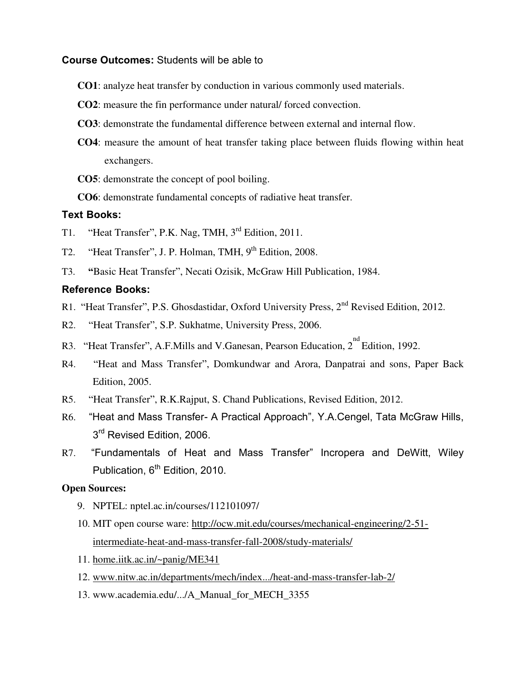#### **Course Outcomes:** Students will be able to

- **CO1**: analyze heat transfer by conduction in various commonly used materials.
- **CO2**: measure the fin performance under natural/ forced convection.
- **CO3**: demonstrate the fundamental difference between external and internal flow.
- **CO4**: measure the amount of heat transfer taking place between fluids flowing within heat exchangers.
- **CO5**: demonstrate the concept of pool boiling.
- **CO6**: demonstrate fundamental concepts of radiative heat transfer.

#### **Text Books:**

- T1. "Heat Transfer", P.K. Nag, TMH, 3rd Edition, 2011.
- T2. "Heat Transfer", J. P. Holman, TMH, 9<sup>th</sup> Edition, 2008.
- T3. **"**Basic Heat Transfer", Necati Ozisik, McGraw Hill Publication, 1984.

#### **Reference Books:**

- R1. "Heat Transfer", P.S. Ghosdastidar, Oxford University Press, 2<sup>nd</sup> Revised Edition, 2012.
- R2. "Heat Transfer", S.P. Sukhatme, University Press, 2006.
- R3. "Heat Transfer", A.F.Mills and V.Ganesan, Pearson Education,  $2^{nd}$  Edition, 1992.
- R4. "Heat and Mass Transfer", Domkundwar and Arora, Danpatrai and sons, Paper Back Edition, 2005.
- R5. "Heat Transfer", R.K.Rajput, S. Chand Publications, Revised Edition, 2012.
- R6. "Heat and Mass Transfer- A Practical Approach", Y.A.Cengel, Tata McGraw Hills, 3<sup>rd</sup> Revised Edition, 2006.
- R7. "Fundamentals of Heat and Mass Transfer" Incropera and DeWitt, Wiley Publication, 6<sup>th</sup> Edition, 2010.

#### **Open Sources:**

- 9. NPTEL: nptel.ac.in/courses/112101097/
- 10. MIT open course ware: [http://ocw.mit.edu/courses/mechanical-engineering/2-51](http://ocw.mit.edu/courses/mechanical-engineering/2-51-intermediate-heat-and-mass-transfer-fall-2008/study-materials/) [intermediate-heat-and-mass-transfer-fall-2008/study-materials/](http://ocw.mit.edu/courses/mechanical-engineering/2-51-intermediate-heat-and-mass-transfer-fall-2008/study-materials/)
- 11. [home.iitk.ac.in/~panig/ME341](http://home.iitk.ac.in/~panig/ME341)
- 12. [www.nitw.ac.in/departments/mech/index.../heat-and-mass-transfer-lab-2/](http://www.nitw.ac.in/departments/mech/index.../heat-and-mass-transfer-lab-2/)
- 13. www.academia.edu/.../A\_Manual\_for\_MECH\_3355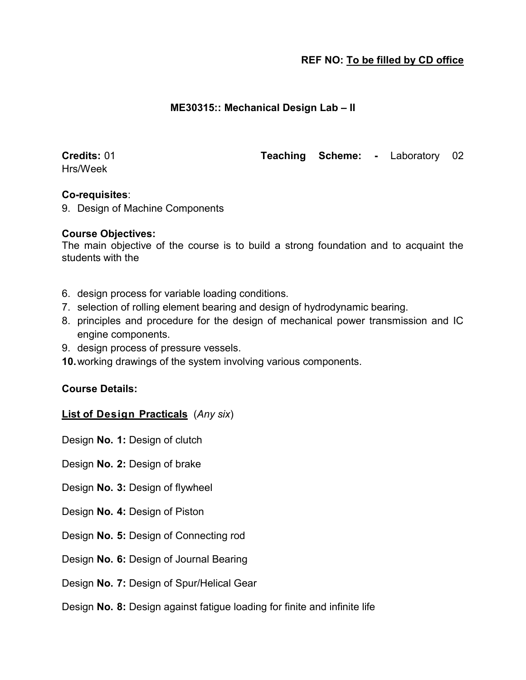#### **ME30315:: Mechanical Design Lab – II**

Hrs/Week

**Credits:** 01 **Teaching Scheme: -** Laboratory 02

#### **Co-requisites**:

9. Design of Machine Components

#### **Course Objectives:**

The main objective of the course is to build a strong foundation and to acquaint the students with the

- 6. design process for variable loading conditions.
- 7. selection of rolling element bearing and design of hydrodynamic bearing.
- 8. principles and procedure for the design of mechanical power transmission and IC engine components.
- 9. design process of pressure vessels.
- **10.**working drawings of the system involving various components.

#### **Course Details:**

#### **List of Design Practicals** (*Any six*)

Design **No. 1:** Design of clutch

Design **No. 2:** Design of brake

- Design **No. 3:** Design of flywheel
- Design **No. 4:** Design of Piston
- Design **No. 5:** Design of Connecting rod
- Design **No. 6:** Design of Journal Bearing
- Design **No. 7:** Design of Spur/Helical Gear
- Design **No. 8:** Design against fatigue loading for finite and infinite life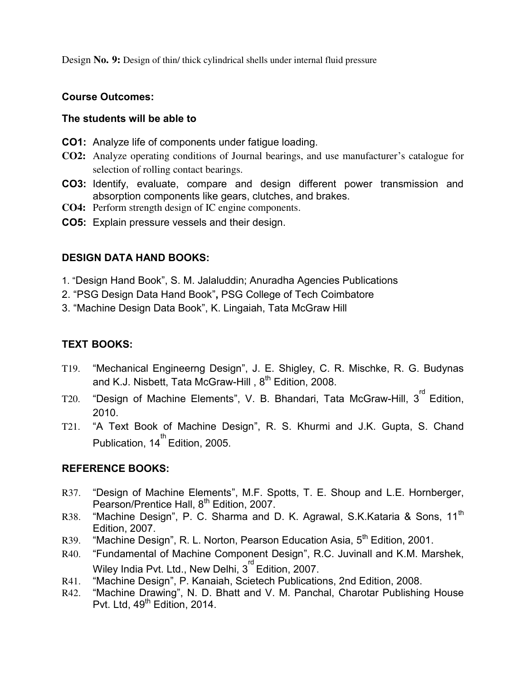Design **No. 9:** Design of thin/ thick cylindrical shells under internal fluid pressure

#### **Course Outcomes:**

#### **The students will be able to**

- **CO1:** Analyze life of components under fatigue loading.
- **CO2:** Analyze operating conditions of Journal bearings, and use manufacturer's catalogue for selection of rolling contact bearings.
- **CO3:** Identify, evaluate, compare and design different power transmission and absorption components like gears, clutches, and brakes.
- **CO4:** Perform strength design of IC engine components.
- **CO5:** Explain pressure vessels and their design.

#### **DESIGN DATA HAND BOOKS:**

- 1. "Design Hand Book", S. M. Jalaluddin; Anuradha Agencies Publications
- 2. "PSG Design Data Hand Book"**,** PSG College of Tech Coimbatore
- 3. "Machine Design Data Book", K. Lingaiah, Tata McGraw Hill

## **TEXT BOOKS:**

- T19. "Mechanical Engineerng Design", J. E. Shigley, C. R. Mischke, R. G. Budynas and K.J. Nisbett, Tata McGraw-Hill, 8<sup>th</sup> Edition, 2008.
- T20. "Design of Machine Elements", V. B. Bhandari, Tata McGraw-Hill, 3<sup>rd</sup> Edition, 2010.
- T21. "A Text Book of Machine Design", R. S. Khurmi and J.K. Gupta, S. Chand Publication, 14<sup>th</sup> Edition, 2005.

#### **REFERENCE BOOKS:**

- R37. "Design of Machine Elements", M.F. Spotts, T. E. Shoup and L.E. Hornberger, Pearson/Prentice Hall, 8<sup>th</sup> Edition, 2007.
- R38. "Machine Design", P. C. Sharma and D. K. Agrawal, S.K.Kataria & Sons, 11<sup>th</sup> Edition, 2007.
- R39. "Machine Design", R. L. Norton, Pearson Education Asia, 5<sup>th</sup> Edition, 2001.
- R40. "Fundamental of Machine Component Design", R.C. Juvinall and K.M. Marshek, Wiley India Pvt. Ltd., New Delhi,  $3^{rd}$  Edition, 2007.
- R41. "Machine Design", P. Kanaiah, Scietech Publications, 2nd Edition, 2008.
- R42. "Machine Drawing", N. D. Bhatt and V. M. Panchal, Charotar Publishing House Pvt. Ltd, 49<sup>th</sup> Edition, 2014.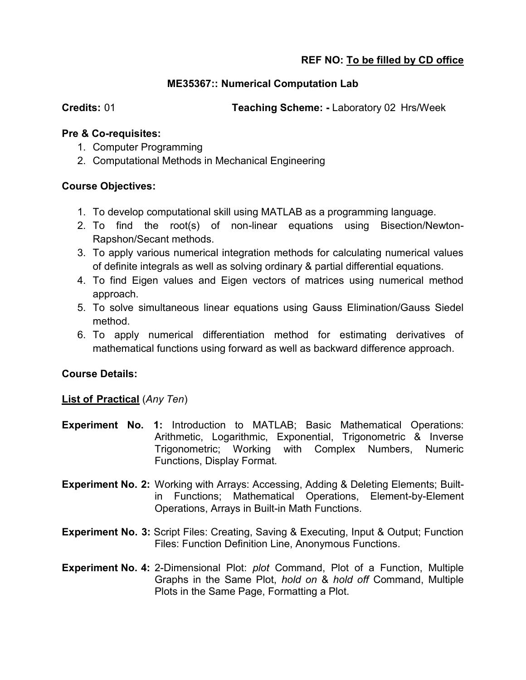#### **ME35367:: Numerical Computation Lab**

**Credits: 01 Teaching Scheme: - Laboratory 02 Hrs/Week** 

#### **Pre & Co-requisites:**

- 1. Computer Programming
- 2. Computational Methods in Mechanical Engineering

#### **Course Objectives:**

- 1. To develop computational skill using MATLAB as a programming language.
- 2. To find the root(s) of non-linear equations using Bisection/Newton-Rapshon/Secant methods.
- 3. To apply various numerical integration methods for calculating numerical values of definite integrals as well as solving ordinary & partial differential equations.
- 4. To find Eigen values and Eigen vectors of matrices using numerical method approach.
- 5. To solve simultaneous linear equations using Gauss Elimination/Gauss Siedel method.
- 6. To apply numerical differentiation method for estimating derivatives of mathematical functions using forward as well as backward difference approach.

#### **Course Details:**

#### **List of Practical** (*Any Ten*)

- **Experiment No. 1:** Introduction to MATLAB; Basic Mathematical Operations: Arithmetic, Logarithmic, Exponential, Trigonometric & Inverse Trigonometric; Working with Complex Numbers, Numeric Functions, Display Format.
- **Experiment No. 2:** Working with Arrays: Accessing, Adding & Deleting Elements; Builtin Functions; Mathematical Operations, Element-by-Element Operations, Arrays in Built-in Math Functions.
- **Experiment No. 3:** Script Files: Creating, Saving & Executing, Input & Output; Function Files: Function Definition Line, Anonymous Functions.
- **Experiment No. 4:** 2-Dimensional Plot: *plot* Command, Plot of a Function, Multiple Graphs in the Same Plot, *hold on* & *hold off* Command, Multiple Plots in the Same Page, Formatting a Plot.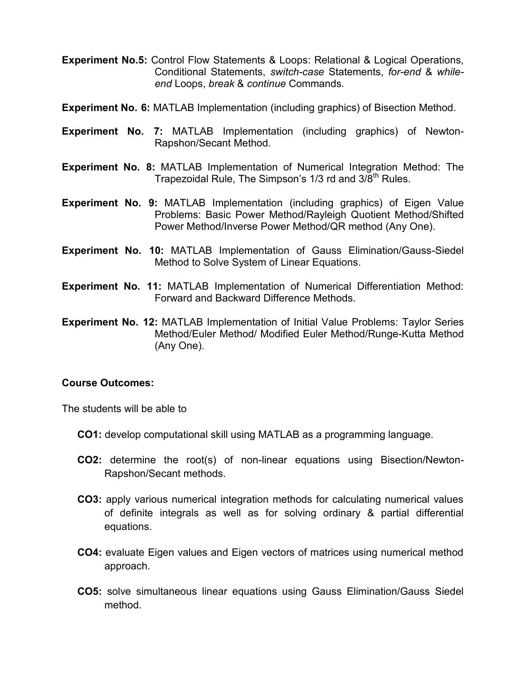**Experiment No.5:** Control Flow Statements & Loops: Relational & Logical Operations, Conditional Statements, *switch-case* Statements, *for-end* & *whileend* Loops, *break* & *continue* Commands.

**Experiment No. 6:** MATLAB Implementation (including graphics) of Bisection Method.

- **Experiment No. 7:** MATLAB Implementation (including graphics) of Newton-Rapshon/Secant Method.
- **Experiment No. 8:** MATLAB Implementation of Numerical Integration Method: The Trapezoidal Rule, The Simpson's 1/3 rd and 3/8<sup>th</sup> Rules.
- **Experiment No. 9:** MATLAB Implementation (including graphics) of Eigen Value Problems: Basic Power Method/Rayleigh Quotient Method/Shifted Power Method/Inverse Power Method/QR method (Any One).
- **Experiment No. 10:** MATLAB Implementation of Gauss Elimination/Gauss-Siedel Method to Solve System of Linear Equations.
- **Experiment No. 11:** MATLAB Implementation of Numerical Differentiation Method: Forward and Backward Difference Methods.
- **Experiment No. 12:** MATLAB Implementation of Initial Value Problems: Taylor Series Method/Euler Method/ Modified Euler Method/Runge-Kutta Method (Any One).

#### **Course Outcomes:**

The students will be able to

- **CO1:** develop computational skill using MATLAB as a programming language.
- **CO2:** determine the root(s) of non-linear equations using Bisection/Newton-Rapshon/Secant methods.
- **CO3:** apply various numerical integration methods for calculating numerical values of definite integrals as well as for solving ordinary & partial differential equations.
- **CO4:** evaluate Eigen values and Eigen vectors of matrices using numerical method approach.
- **CO5:** solve simultaneous linear equations using Gauss Elimination/Gauss Siedel method.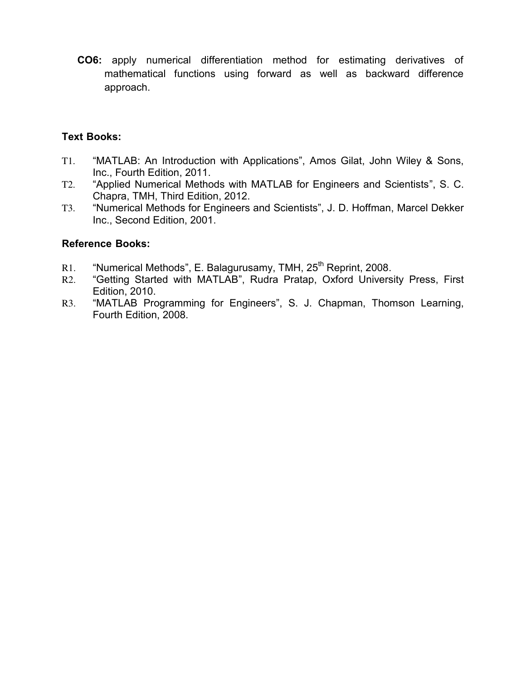**CO6:** apply numerical differentiation method for estimating derivatives of mathematical functions using forward as well as backward difference approach.

#### **Text Books:**

- T1. "MATLAB: An Introduction with Applications", Amos Gilat, John Wiley & Sons, Inc., Fourth Edition, 2011.
- T2. "Applied Numerical Methods with MATLAB for Engineers and Scientists", S. C. Chapra, TMH, Third Edition, 2012.
- T3. "Numerical Methods for Engineers and Scientists", J. D. Hoffman, Marcel Dekker Inc., Second Edition, 2001.

#### **Reference Books:**

- R1. "Numerical Methods", E. Balagurusamy, TMH, 25<sup>th</sup> Reprint, 2008.
- R2. "Getting Started with MATLAB", Rudra Pratap, Oxford University Press, First Edition, 2010.
- R3. "MATLAB Programming for Engineers", S. J. Chapman, Thomson Learning, Fourth Edition, 2008.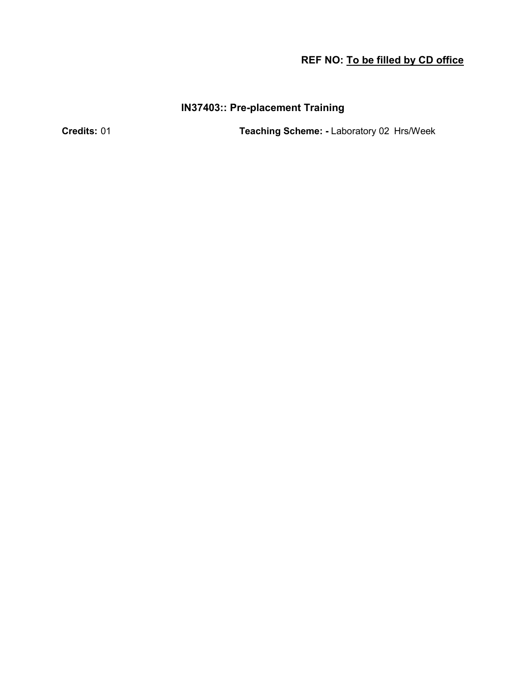# **IN37403:: Pre-placement Training**

**Credits:** 01 **Teaching Scheme: -** Laboratory 02 Hrs/Week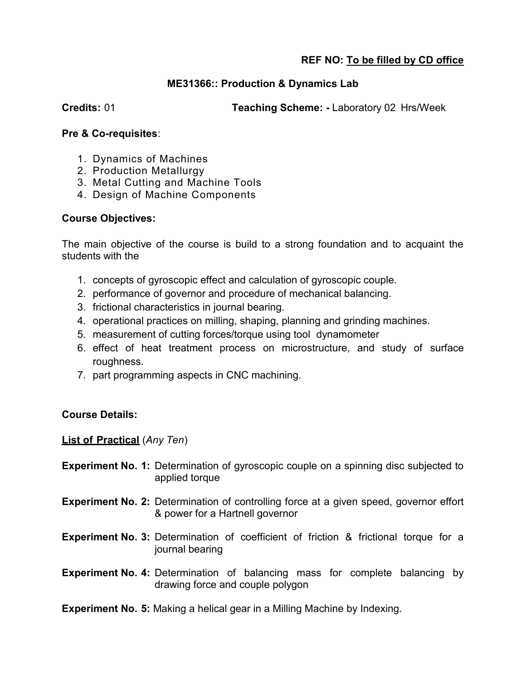#### **ME31366:: Production & Dynamics Lab**

**Credits:** 01 **Teaching Scheme: -** Laboratory 02 Hrs/Week

#### **Pre & Co-requisites**:

- 1. Dynamics of Machines
- 2. Production Metallurgy
- 3. Metal Cutting and Machine Tools
- 4. Design of Machine Components

#### **Course Objectives:**

The main objective of the course is build to a strong foundation and to acquaint the students with the

- 1. concepts of gyroscopic effect and calculation of gyroscopic couple.
- 2. performance of governor and procedure of mechanical balancing.
- 3. frictional characteristics in journal bearing.
- 4. operational practices on milling, shaping, planning and grinding machines.
- 5. measurement of cutting forces/torque using tool dynamometer
- 6. effect of heat treatment process on microstructure, and study of surface roughness.
- 7. part programming aspects in CNC machining.

#### **Course Details:**

**List of Practical** (*Any Ten*)

- **Experiment No. 1:** Determination of gyroscopic couple on a spinning disc subjected to applied torque
- **Experiment No. 2:** Determination of controlling force at a given speed, governor effort & power for a Hartnell governor
- **Experiment No. 3:** Determination of coefficient of friction & frictional torque for a journal bearing
- **Experiment No. 4:** Determination of balancing mass for complete balancing by drawing force and couple polygon

**Experiment No. 5:** Making a helical gear in a Milling Machine by Indexing.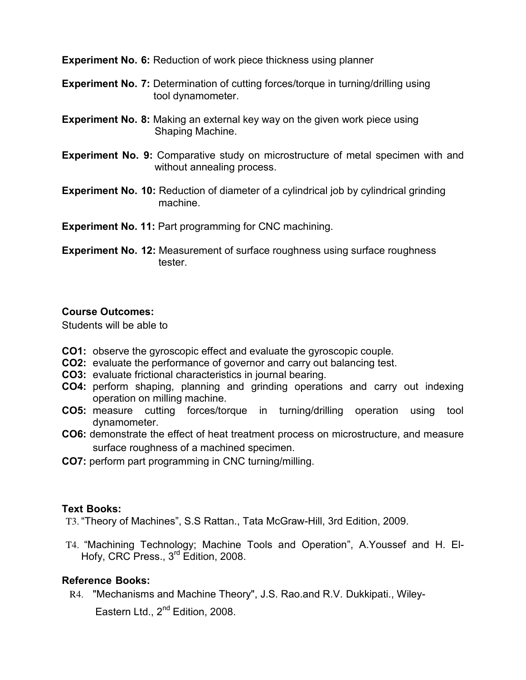**Experiment No. 6:** Reduction of work piece thickness using planner

- **Experiment No. 7:** Determination of cutting forces/torque in turning/drilling using tool dynamometer.
- **Experiment No. 8:** Making an external key way on the given work piece using Shaping Machine.
- **Experiment No. 9:** Comparative study on microstructure of metal specimen with and without annealing process.
- **Experiment No. 10:** Reduction of diameter of a cylindrical job by cylindrical grinding machine.

**Experiment No. 11:** Part programming for CNC machining.

**Experiment No. 12:** Measurement of surface roughness using surface roughness tester.

#### **Course Outcomes:**

Students will be able to

- **CO1:** observe the gyroscopic effect and evaluate the gyroscopic couple.
- **CO2:** evaluate the performance of governor and carry out balancing test.
- **CO3:** evaluate frictional characteristics in journal bearing.
- **CO4:** perform shaping, planning and grinding operations and carry out indexing operation on milling machine.
- **CO5:** measure cutting forces/torque in turning/drilling operation using tool dynamometer.
- **CO6:** demonstrate the effect of heat treatment process on microstructure, and measure surface roughness of a machined specimen.
- **CO7:** perform part programming in CNC turning/milling.

#### **Text Books:**

T3. "Theory of Machines", S.S Rattan., Tata McGraw-Hill, 3rd Edition, 2009.

T4. "Machining Technology; Machine Tools and Operation", A.Youssef and H. El-Hofy, CRC Press., 3<sup>rd</sup> Edition, 2008.

#### **Reference Books:**

R4. "Mechanisms and Machine Theory", J.S. Rao.and R.V. Dukkipati., Wiley-

Eastern Ltd., 2<sup>nd</sup> Edition, 2008.